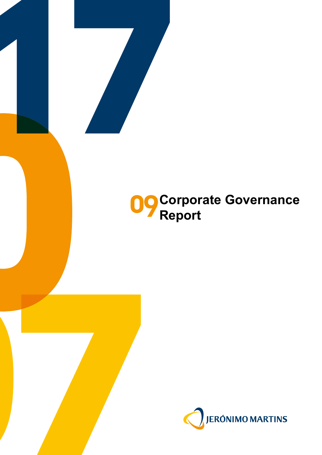

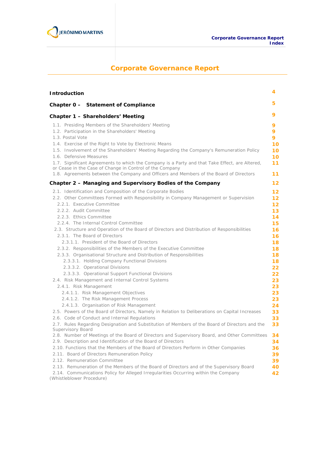

# **Corporate Governance Report**

| <b>Introduction</b>                                                                                                                                                                                                                                                                                                                                                                                                                                                                                                                                                                                                       | 4                                                                             |
|---------------------------------------------------------------------------------------------------------------------------------------------------------------------------------------------------------------------------------------------------------------------------------------------------------------------------------------------------------------------------------------------------------------------------------------------------------------------------------------------------------------------------------------------------------------------------------------------------------------------------|-------------------------------------------------------------------------------|
| Chapter 0 - Statement of Compliance                                                                                                                                                                                                                                                                                                                                                                                                                                                                                                                                                                                       | 5.                                                                            |
| Chapter 1 - Shareholders' Meeting                                                                                                                                                                                                                                                                                                                                                                                                                                                                                                                                                                                         | 9                                                                             |
| 1.1. Presiding Members of the Shareholders' Meeting<br>1.2. Participation in the Shareholders' Meeting<br>1.3. Postal Vote<br>1.4. Exercise of the Right to Vote by Electronic Means<br>1.5. Involvement of the Shareholders' Meeting Regarding the Company's Remuneration Policy<br>1.6. Defensive Measures<br>1.7. Significant Agreements to which the Company is a Party and that Take Effect, are Altered,<br>or Cease in the Case of Change in Control of the Company<br>1.8. Agreements between the Company and Officers and Members of the Board of Directors                                                      | 9<br>9<br>9<br>10<br>10<br>10<br>11<br>11                                     |
| Chapter 2 - Managing and Supervisory Bodies of the Company                                                                                                                                                                                                                                                                                                                                                                                                                                                                                                                                                                | 12 <sub>1</sub>                                                               |
| 2.1. Identification and Composition of the Corporate Bodies<br>2.2. Other Committees Formed with Responsibility in Company Management or Supervision<br>2.2.1. Executive Committee<br>2.2.2. Audit Committee<br>2.2.3. Ethics Committee<br>2.2.4. The Internal Control Committee<br>2.3. Structure and Operation of the Board of Directors and Distribution of Responsibilities<br>2.3.1. The Board of Directors<br>2.3.1.1. President of the Board of Directors<br>2.3.2. Responsibilities of the Members of the Executive Committee<br>2.3.3. Organisational Structure and Distribution of Responsibilities             | 12<br>12<br>$12 \overline{ }$<br>13<br>14<br>15<br>16<br>16<br>18<br>18<br>18 |
| 2.3.3.1. Holding Company Functional Divisions<br>2.3.3.2. Operational Divisions<br>2.3.3.3. Operational Support Functional Divisions<br>2.4. Risk Management and Internal Control Systems<br>2.4.1. Risk Management<br>2.4.1.1. Risk Management Objectives<br>2.4.1.2. The Risk Management Process<br>2.4.1.3. Organisation of Risk Management<br>2.5. Powers of the Board of Directors, Namely in Relation to Deliberations on Capital Increases<br>2.6. Code of Conduct and Internal Regulations<br>2.7. Rules Regarding Designation and Substitution of Members of the Board of Directors and the<br>Supervisory Board | 18<br>22<br>22<br>23<br>23<br>23<br>23<br>24<br>33<br>33<br>33                |
| 2.8. Number of Meetings of the Board of Directors and Supervisory Board, and Other Committees<br>2.9. Description and Identification of the Board of Directors<br>2.10. Functions that the Members of the Board of Directors Perform in Other Companies<br>2.11. Board of Directors Remuneration Policy<br>2.12. Remuneration Committee<br>2.13. Remuneration of the Members of the Board of Directors and of the Supervisory Board<br>2.14. Communications Policy for Alleged Irregularities Occurring within the Company<br>(Whistleblower Procedure)                                                                   | 34<br>34<br>36<br>39<br>39<br>40<br>42                                        |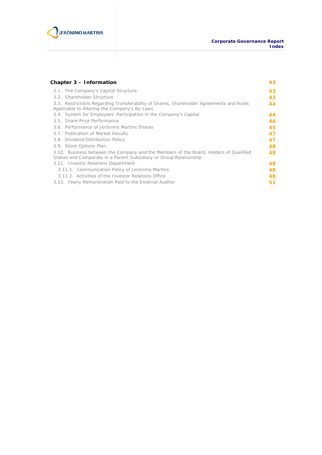

| Chapter 3 - Information                                                                                                                                    | 43 |
|------------------------------------------------------------------------------------------------------------------------------------------------------------|----|
| 3.1. The Company's Capital Structure                                                                                                                       | 43 |
| 3.2. Shareholder Structure                                                                                                                                 | 43 |
| 3.3. Restrictions Regarding Transferability of Shares, Shareholder Agreements and Rules<br>Applicable to Altering the Company's By-Laws                    | 44 |
| 3.4. System for Employees' Participation in the Company's Capital                                                                                          | 44 |
| 3.5. Share Price Performance                                                                                                                               | 44 |
| 3.6. Performance of Jerónimo Martins Shares                                                                                                                | 45 |
| 3.7. Publication of Market Results                                                                                                                         | 47 |
| 3.8. Dividend Distribution Policy                                                                                                                          | 47 |
| 3.9. Stock Options Plan                                                                                                                                    | 48 |
| 3.10. Business between the Company and the Members of the Board, Holders of Qualified<br>Stakes and Companies in a Parent-Subsidiary or Group Relationship | 48 |
| 3.11. Investor Relations Department                                                                                                                        | 48 |
| 3.11.1. Communication Policy of Jerónimo Martins                                                                                                           | 48 |
| 3.11.2. Activities of the Investor Relations Office                                                                                                        | 48 |
| 3.12. Yearly Remuneration Paid to the External Auditor                                                                                                     | 51 |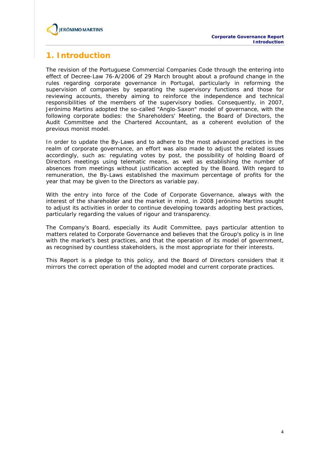

# **1. Introduction**

The revision of the Portuguese Commercial Companies Code through the entering into effect of Decree-Law 76-A/2006 of 29 March brought about a profound change in the rules regarding corporate governance in Portugal, particularly in reforming the supervision of companies by separating the supervisory functions and those for reviewing accounts, thereby aiming to reinforce the independence and technical responsibilities of the members of the supervisory bodies. Consequently, in 2007, Jerónimo Martins adopted the so-called "Anglo-Saxon" model of governance, with the following corporate bodies: the Shareholders' Meeting, the Board of Directors, the Audit Committee and the Chartered Accountant, as a coherent evolution of the previous monist model.

In order to update the By-Laws and to adhere to the most advanced practices in the realm of corporate governance, an effort was also made to adjust the related issues accordingly, such as: regulating votes by post, the possibility of holding Board of Directors meetings using telematic means, as well as establishing the number of absences from meetings without justification accepted by the Board. With regard to remuneration, the By-Laws established the maximum percentage of profits for the year that may be given to the Directors as variable pay.

With the entry into force of the Code of Corporate Governance, always with the interest of the shareholder and the market in mind, in 2008 Jerónimo Martins sought to adjust its activities in order to continue developing towards adopting best practices, particularly regarding the values of rigour and transparency.

The Company's Board, especially its Audit Committee, pays particular attention to matters related to Corporate Governance and believes that the Group's policy is in line with the market's best practices, and that the operation of its model of government, as recognised by countless stakeholders, is the most appropriate for their interests.

This Report is a pledge to this policy, and the Board of Directors considers that it mirrors the correct operation of the adopted model and current corporate practices.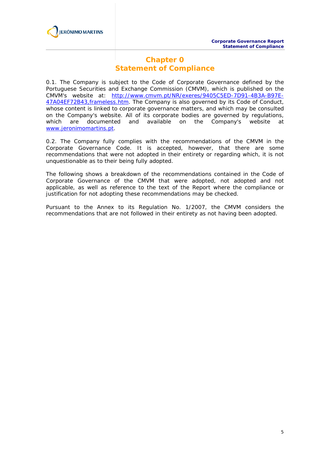

# **Chapter 0 Statement of Compliance**

0.1. The Company is subject to the Code of Corporate Governance defined by the Portuguese Securities and Exchange Commission (CMVM), which is published on the CMVM's website at: http://www.cmvm.pt/NR/exeres/9405C5ED-7D91-4B3A-B97E-47A04EF72B43,frameless.htm. The Company is also governed by its Code of Conduct, whose content is linked to corporate governance matters, and which may be consulted on the Company's website. All of its corporate bodies are governed by regulations,<br>which are documented and available on the Company's website at which are documented and available on the Company's website at www.jeronimomartins.pt.

0.2. The Company fully complies with the recommendations of the CMVM in the Corporate Governance Code. It is accepted, however, that there are some recommendations that were not adopted in their entirety or regarding which, it is not unquestionable as to their being fully adopted.

The following shows a breakdown of the recommendations contained in the Code of Corporate Governance of the CMVM that were adopted, not adopted and not applicable, as well as reference to the text of the Report where the compliance or justification for not adopting these recommendations may be checked.

Pursuant to the Annex to its Regulation No. 1/2007, the CMVM considers the recommendations that are not followed in their entirety as not having been adopted.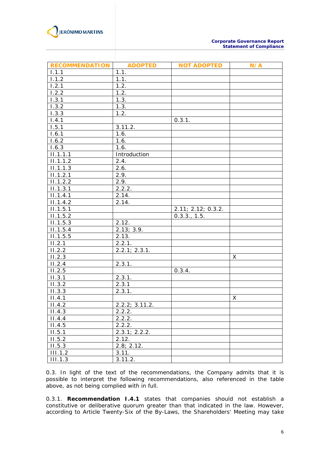

#### **Corporate Governance Report Statement of Compliance**

| <b>RECOMMENDATION</b> | <b>ADOPTED</b> | <b>NOT ADOPTED</b> | N/A |
|-----------------------|----------------|--------------------|-----|
| 1.1.1                 | 1.1.           |                    |     |
| 1.1.2                 | 1.1.           |                    |     |
| 1.2.1                 | 1.2.           |                    |     |
| 1.2.2                 | 1.2.           |                    |     |
| 1.3.1                 | 1.3.           |                    |     |
| 1.3.2                 | 1.3.           |                    |     |
| 1.3.3                 | 1.2.           |                    |     |
| 1.4.1                 |                | 0.3.1.             |     |
| 1.5.1                 | 3.11.2.        |                    |     |
| 1.6.1                 | 1.6.           |                    |     |
| 1.6.2                 | 1.6.           |                    |     |
| 1.6.3                 | 1.6.           |                    |     |
| II.1.1.1              | Introduction   |                    |     |
| 11.1.1.2              | 2.4.           |                    |     |
| II.1.1.3              | 2.6.           |                    |     |
| II.1.2.1              | 2.9.           |                    |     |
| 11.1.2.2              | 2.9.           |                    |     |
| II.1.3.1              | 2.2.2.         |                    |     |
| II.1.4.1              | 2.14.          |                    |     |
| II.1.4.2              | 2.14.          |                    |     |
| II.1.5.1              |                | 2.11; 2.12; 0.3.2. |     |
| 11.1.5.2              |                | 0.3.3., 1.5.       |     |
| $\overline{11.1.5.3}$ | 2.12.          |                    |     |
| 11.1.5.4              | 2.13; 3.9.     |                    |     |
| II.1.5.5              | 2.13.          |                    |     |
| II.2.1                | 2.2.1.         |                    |     |
| 11.2.2                | 2.2.1; 2.3.1.  |                    |     |
| 11.2.3                |                |                    | X   |
| 11.2.4                | 2.3.1.         |                    |     |
| 11.2.5                |                | 0.3.4.             |     |
| 11.3.1                | 2.3.1.         |                    |     |
| 11.3.2                | 2.3.1          |                    |     |
| II.3.3                | 2.3.1.         |                    |     |
| 11.4.1                |                |                    | X   |
| II.4.2                | 2.2.2; 3.11.2. |                    |     |
| 11.4.3                | 2.2.2.         |                    |     |
| 11.4.4                | 2.2.2.         |                    |     |
| II.4.5                | 2.2.2.         |                    |     |
| II.5.1                | 2.3.1; 2.2.2.  |                    |     |
| 11.5.2                | 2.12.          |                    |     |
| II.5.3                | 2.8; 2.12.     |                    |     |
| III.1.2               | 3.11.          |                    |     |
| III.1.3               | 3.11.2.        |                    |     |

0.3. In light of the text of the recommendations, the Company admits that it is possible to interpret the following recommendations, also referenced in the table above, as not being complied with in full.

0.3.1. **Recommendation I.4.1** states that companies should not establish a constitutive or deliberative quorum greater than that indicated in the law. However, according to Article Twenty-Six of the By-Laws, the Shareholders' Meeting may take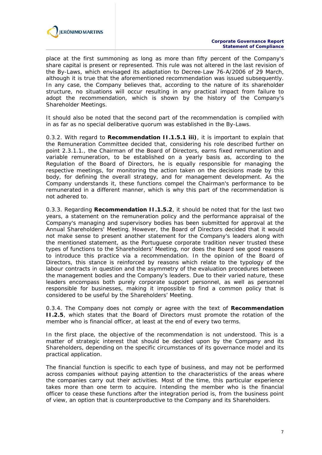

place at the first summoning as long as more than fifty percent of the Company's share capital is present or represented. This rule was not altered in the last revision of the By-Laws, which envisaged its adaptation to Decree-Law 76-A/2006 of 29 March, although it is true that the aforementioned recommendation was issued subsequently. In any case, the Company believes that, according to the nature of its shareholder structure, no situations will occur resulting in any practical impact from failure to adopt the recommendation, which is shown by the history of the Company's Shareholder Meetings.

It should also be noted that the second part of the recommendation is complied with in as far as no special deliberative quorum was established in the By-Laws.

0.3.2. With regard to **Recommendation II.1.5.1 iii)**, it is important to explain that the Remuneration Committee decided that, considering his role described further on point 2.3.1.1., the Chairman of the Board of Directors, earns fixed remuneration and variable remuneration, to be established on a yearly basis as, according to the Regulation of the Board of Directors, he is equally responsible for managing the respective meetings, for monitoring the action taken on the decisions made by this body, for defining the overall strategy, and for management development. As the Company understands it, these functions compel the Chairman's performance to be remunerated in a different manner, which is why this part of the recommendation is not adhered to.

0.3.3. Regarding **Recommendation II.1.5.2**, it should be noted that for the last two years, a statement on the remuneration policy and the performance appraisal of the Company's managing and supervisory bodies has been submitted for approval at the Annual Shareholders' Meeting. However, the Board of Directors decided that it would not make sense to present another statement for the Company's leaders along with the mentioned statement, as the Portuguese corporate tradition never trusted these types of functions to the Shareholders' Meeting, nor does the Board see good reasons to introduce this practice via a recommendation. In the opinion of the Board of Directors, this stance is reinforced by reasons which relate to the typology of the labour contracts in question and the asymmetry of the evaluation procedures between the management bodies and the Company's leaders. Due to their varied nature, these leaders encompass both purely corporate support personnel, as well as personnel responsible for businesses, making it impossible to find a common policy that is considered to be useful by the Shareholders' Meeting.

0.3.4. The Company does not comply or agree with the text of **Recommendation II.2.5**, which states that the Board of Directors must promote the rotation of the member who is financial officer, at least at the end of every two terms.

In the first place, the objective of the recommendation is not understood. This is a matter of strategic interest that should be decided upon by the Company and its Shareholders, depending on the specific circumstances of its governance model and its practical application.

The financial function is specific to each type of business, and may not be performed across companies without paying attention to the characteristics of the areas where the companies carry out their activities. Most of the time, this particular experience takes more than one term to acquire. Intending the member who is the financial officer to cease these functions after the integration period is, from the business point of view, an option that is counterproductive to the Company and its Shareholders.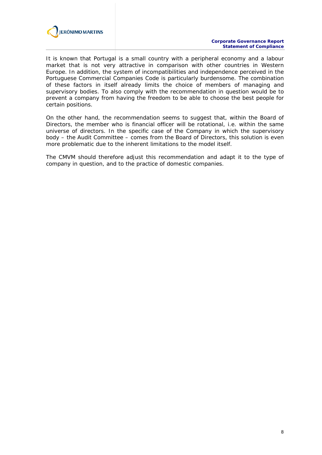

It is known that Portugal is a small country with a peripheral economy and a labour market that is not very attractive in comparison with other countries in Western Europe. In addition, the system of incompatibilities and independence perceived in the Portuguese Commercial Companies Code is particularly burdensome. The combination of these factors in itself already limits the choice of members of managing and supervisory bodies. To also comply with the recommendation in question would be to prevent a company from having the freedom to be able to choose the best people for certain positions.

On the other hand, the recommendation seems to suggest that, within the Board of Directors, the member who is financial officer will be rotational, i.e. within the same universe of directors. In the specific case of the Company in which the supervisory body – the Audit Committee – comes from the Board of Directors, this solution is even more problematic due to the inherent limitations to the model itself.

The CMVM should therefore adjust this recommendation and adapt it to the type of company in question, and to the practice of domestic companies.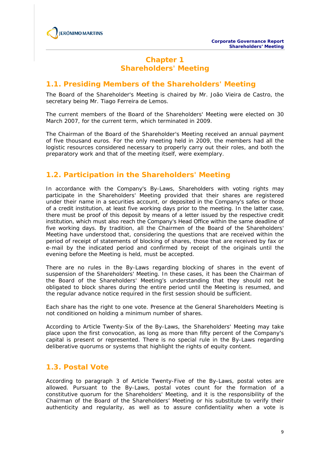# **Chapter 1 Shareholders' Meeting**

### **1.1. Presiding Members of the Shareholders' Meeting**

The Board of the Shareholder's Meeting is chaired by Mr. João Vieira de Castro, the secretary being Mr. Tiago Ferreira de Lemos.

The current members of the Board of the Shareholders' Meeting were elected on 30 March 2007, for the current term, which terminated in 2009.

The Chairman of the Board of the Shareholder's Meeting received an annual payment of five thousand euros. For the only meeting held in 2009, the members had all the logistic resources considered necessary to properly carry out their roles, and both the preparatory work and that of the meeting itself, were exemplary.

# **1.2. Participation in the Shareholders' Meeting**

In accordance with the Company's By-Laws, Shareholders with voting rights may participate in the Shareholders' Meeting provided that their shares are registered under their name in a securities account, or deposited in the Company's safes or those of a credit institution, at least five working days prior to the meeting. In the latter case, there must be proof of this deposit by means of a letter issued by the respective credit institution, which must also reach the Company's Head Office within the same deadline of five working days. By tradition, all the Chairmen of the Board of the Shareholders' Meeting have understood that, considering the questions that are received within the period of receipt of statements of blocking of shares, those that are received by fax or e-mail by the indicated period and confirmed by receipt of the originals until the evening before the Meeting is held, must be accepted.

There are no rules in the By-Laws regarding blocking of shares in the event of suspension of the Shareholders' Meeting. In these cases, it has been the Chairman of the Board of the Shareholders' Meeting's understanding that they should not be obligated to block shares during the entire period until the Meeting is resumed, and the regular advance notice required in the first session should be sufficient.

Each share has the right to one vote. Presence at the General Shareholders Meeting is not conditioned on holding a minimum number of shares.

According to Article Twenty-Six of the By-Laws, the Shareholders' Meeting may take place upon the first convocation, as long as more than fifty percent of the Company's capital is present or represented. There is no special rule in the By-Laws regarding deliberative quorums or systems that highlight the rights of equity content.

### **1.3. Postal Vote**

According to paragraph 3 of Article Twenty-Five of the By-Laws, postal votes are allowed. Pursuant to the By-Laws, postal votes count for the formation of a constitutive quorum for the Shareholders' Meeting, and it is the responsibility of the Chairman of the Board of the Shareholders' Meeting or his substitute to verify their authenticity and regularity, as well as to assure confidentiality when a vote is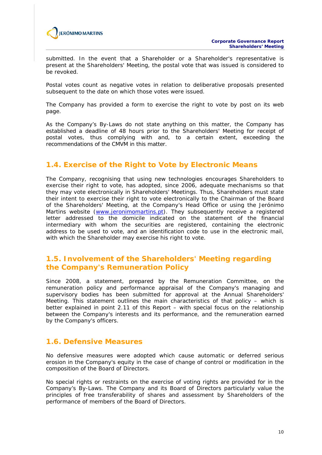

submitted. In the event that a Shareholder or a Shareholder's representative is present at the Shareholders' Meeting, the postal vote that was issued is considered to be revoked.

Postal votes count as negative votes in relation to deliberative proposals presented subsequent to the date on which those votes were issued.

The Company has provided a form to exercise the right to vote by post on its web page.

As the Company's By-Laws do not state anything on this matter, the Company has established a deadline of 48 hours prior to the Shareholders' Meeting for receipt of postal votes, thus complying with and, to a certain extent, exceeding the recommendations of the CMVM in this matter.

## **1.4. Exercise of the Right to Vote by Electronic Means**

The Company, recognising that using new technologies encourages Shareholders to exercise their right to vote, has adopted, since 2006, adequate mechanisms so that they may vote electronically in Shareholders' Meetings. Thus, Shareholders must state their intent to exercise their right to vote electronically to the Chairman of the Board of the Shareholders' Meeting, at the Company's Head Office or using the Jerónimo Martins website (www.jeronimomartins.pt). They subsequently receive a registered letter addressed to the domicile indicated on the statement of the financial intermediary with whom the securities are registered, containing the electronic address to be used to vote, and an identification code to use in the electronic mail, with which the Shareholder may exercise his right to vote.

### **1.5. Involvement of the Shareholders' Meeting regarding the Company's Remuneration Policy**

Since 2008, a statement, prepared by the Remuneration Committee, on the remuneration policy and performance appraisal of the Company's managing and supervisory bodies has been submitted for approval at the Annual Shareholders' Meeting. This statement outlines the main characteristics of that policy – which is better explained in point 2.11 of this Report – with special focus on the relationship between the Company's interests and its performance, and the remuneration earned by the Company's officers.

### **1.6. Defensive Measures**

No defensive measures were adopted which cause automatic or deferred serious erosion in the Company's equity in the case of change of control or modification in the composition of the Board of Directors.

No special rights or restraints on the exercise of voting rights are provided for in the Company's By-Laws. The Company and its Board of Directors particularly value the principles of free transferability of shares and assessment by Shareholders of the performance of members of the Board of Directors.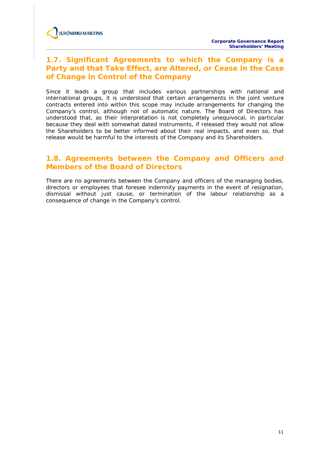## **1.7. Significant Agreements to which the Company is a Party and that Take Effect, are Altered, or Cease in the Case of Change in Control of the Company**

Since it leads a group that includes various partnerships with national and international groups, it is understood that certain arrangements in the joint venture contracts entered into within this scope may include arrangements for changing the Company's control, although not of automatic nature. The Board of Directors has understood that, as their interpretation is not completely unequivocal, in particular because they deal with somewhat dated instruments, if released they would not allow the Shareholders to be better informed about their real impacts, and even so, that release would be harmful to the interests of the Company and its Shareholders.

# **1.8. Agreements between the Company and Officers and Members of the Board of Directors**

There are no agreements between the Company and officers of the managing bodies, directors or employees that foresee indemnity payments in the event of resignation, dismissal without just cause, or termination of the labour relationship as a consequence of change in the Company's control.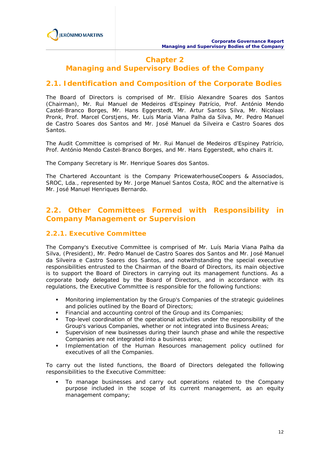

# **Chapter 2**

# **Managing and Supervisory Bodies of the Company**

### **2.1. Identification and Composition of the Corporate Bodies**

The Board of Directors is comprised of Mr. Elísio Alexandre Soares dos Santos (Chairman), Mr. Rui Manuel de Medeiros d'Espiney Patrício, Prof. António Mendo Castel-Branco Borges, Mr. Hans Eggerstedt, Mr. Artur Santos Silva, Mr. Nicolaas Pronk, Prof. Marcel Corstjens, Mr. Luís Maria Viana Palha da Silva, Mr. Pedro Manuel de Castro Soares dos Santos and Mr. José Manuel da Silveira e Castro Soares dos Santos.

The Audit Committee is comprised of Mr. Rui Manuel de Medeiros d'Espiney Patrício, Prof. António Mendo Castel-Branco Borges, and Mr. Hans Eggerstedt, who chairs it.

The Company Secretary is Mr. Henrique Soares dos Santos.

The Chartered Accountant is the Company PricewaterhouseCoopers & Associados, SROC, Lda., represented by Mr. Jorge Manuel Santos Costa, ROC and the alternative is Mr. José Manuel Henriques Bernardo.

# **2.2. Other Committees Formed with Responsibility in Company Management or Supervision**

### **2.2.1. Executive Committee**

The Company's Executive Committee is comprised of Mr. Luís Maria Viana Palha da Silva, (President), Mr. Pedro Manuel de Castro Soares dos Santos and Mr. José Manuel da Silveira e Castro Soares dos Santos, and notwithstanding the special executive responsibilities entrusted to the Chairman of the Board of Directors, its main objective is to support the Board of Directors in carrying out its management functions. As a corporate body delegated by the Board of Directors, and in accordance with its regulations, the Executive Committee is responsible for the following functions:

- Monitoring implementation by the Group's Companies of the strategic guidelines and policies outlined by the Board of Directors;
- Financial and accounting control of the Group and its Companies;
- Top-level coordination of the operational activities under the responsibility of the Group's various Companies, whether or not integrated into Business Areas;
- Supervision of new businesses during their launch phase and while the respective Companies are not integrated into a business area;
- **Implementation of the Human Resources management policy outlined for** executives of all the Companies.

To carry out the listed functions, the Board of Directors delegated the following responsibilities to the Executive Committee:

 To manage businesses and carry out operations related to the Company purpose included in the scope of its current management, as an equity management company;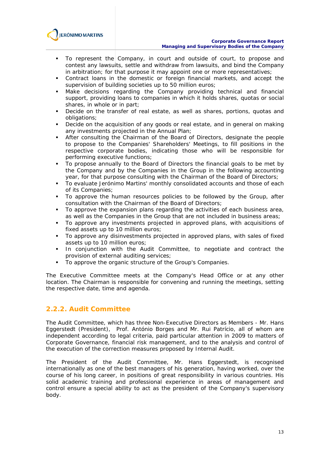

- To represent the Company, in court and outside of court, to propose and contest any lawsuits, settle and withdraw from lawsuits, and bind the Company in arbitration; for that purpose it may appoint one or more representatives;
- Contract loans in the domestic or foreign financial markets, and accept the supervision of building societies up to 50 million euros;
- Make decisions regarding the Company providing technical and financial support, providing loans to companies in which it holds shares, quotas or social shares, in whole or in part;
- Decide on the transfer of real estate, as well as shares, portions, quotas and obligations;
- Decide on the acquisition of any goods or real estate, and in general on making any investments projected in the Annual Plan;
- After consulting the Chairman of the Board of Directors, designate the people to propose to the Companies' Shareholders' Meetings, to fill positions in the respective corporate bodies, indicating those who will be responsible for performing executive functions;
- To propose annually to the Board of Directors the financial goals to be met by the Company and by the Companies in the Group in the following accounting year, for that purpose consulting with the Chairman of the Board of Directors;
- To evaluate Jerónimo Martins' monthly consolidated accounts and those of each of its Companies;
- To approve the human resources policies to be followed by the Group, after consultation with the Chairman of the Board of Directors;
- To approve the expansion plans regarding the activities of each business area, as well as the Companies in the Group that are not included in business areas;
- To approve any investments projected in approved plans, with acquisitions of fixed assets up to 10 million euros;
- To approve any disinvestments projected in approved plans, with sales of fixed assets up to 10 million euros;
- **In conjunction with the Audit Committee, to negotiate and contract the** provision of external auditing services;
- To approve the organic structure of the Group's Companies.

The Executive Committee meets at the Company's Head Office or at any other location. The Chairman is responsible for convening and running the meetings, setting the respective date, time and agenda.

### **2.2.2. Audit Committee**

The Audit Committee, which has three Non-Executive Directors as Members - Mr. Hans Eggerstedt (President), Prof. António Borges and Mr. Rui Patrício, all of whom are independent according to legal criteria, paid particular attention in 2009 to matters of Corporate Governance, financial risk management, and to the analysis and control of the execution of the correction measures proposed by Internal Audit.

The President of the Audit Committee, Mr. Hans Eggerstedt, is recognised internationally as one of the best managers of his generation, having worked, over the course of his long career, in positions of great responsibility in various countries. His solid academic training and professional experience in areas of management and control ensure a special ability to act as the president of the Company's supervisory body.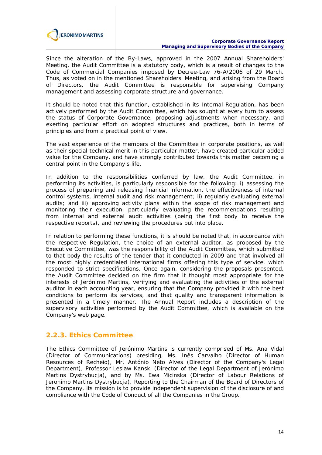

Since the alteration of the By-Laws, approved in the 2007 Annual Shareholders' Meeting, the Audit Committee is a statutory body, which is a result of changes to the Code of Commercial Companies imposed by Decree-Law 76-A/2006 of 29 March. Thus, as voted on in the mentioned Shareholders' Meeting, and arising from the Board of Directors, the Audit Committee is responsible for supervising Company management and assessing corporate structure and governance.

It should be noted that this function, established in its Internal Regulation, has been actively performed by the Audit Committee, which has sought at every turn to assess the status of Corporate Governance, proposing adjustments when necessary, and exerting particular effort on adopted structures and practices, both in terms of principles and from a practical point of view.

The vast experience of the members of the Committee in corporate positions, as well as their special technical merit in this particular matter, have created particular added value for the Company, and have strongly contributed towards this matter becoming a central point in the Company's life.

In addition to the responsibilities conferred by law, the Audit Committee, in performing its activities, is particularly responsible for the following: i) assessing the process of preparing and releasing financial information, the effectiveness of internal control systems, internal audit and risk management; ii) regularly evaluating external audits; and iii) approving activity plans within the scope of risk management and monitoring their execution, particularly evaluating the recommendations resulting from internal and external audit activities (being the first body to receive the respective reports), and reviewing the procedures put into place.

In relation to performing these functions, it is should be noted that, in accordance with the respective Regulation, the choice of an external auditor, as proposed by the Executive Committee, was the responsibility of the Audit Committee, which submitted to that body the results of the tender that it conducted in 2009 and that involved all the most highly credentialed international firms offering this type of service, which responded to strict specifications. Once again, considering the proposals presented, the Audit Committee decided on the firm that it thought most appropriate for the interests of Jerónimo Martins, verifying and evaluating the activities of the external auditor in each accounting year, ensuring that the Company provided it with the best conditions to perform its services, and that quality and transparent information is presented in a timely manner. The Annual Report includes a description of the supervisory activities performed by the Audit Committee, which is available on the Company's web page.

### **2.2.3. Ethics Committee**

The Ethics Committee of Jerónimo Martins is currently comprised of Ms. Ana Vidal (Director of Communications) presiding, Ms. Inês Carvalho (Director of Human Resources of Recheio), Mr. António Neto Alves (Director of the Company's Legal Department), Professor Leslaw Kanski (Director of the Legal Department of Jerónimo Martins Dystrybucja), and by Ms. Ewa Micinska (Director of Labour Relations of Jeronimo Martins Dystrybucja). Reporting to the Chairman of the Board of Directors of the Company, its mission is to provide independent supervision of the disclosure of and compliance with the Code of Conduct of all the Companies in the Group.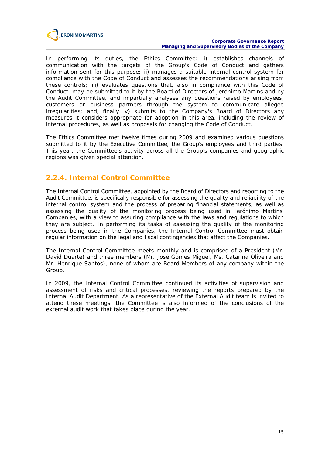

#### **Corporate Governance Report Managing and Supervisory Bodies of the Company**

In performing its duties, the Ethics Committee: i) establishes channels of communication with the targets of the Group's Code of Conduct and gathers information sent for this purpose; ii) manages a suitable internal control system for compliance with the Code of Conduct and assesses the recommendations arising from these controls; iii) evaluates questions that, also in compliance with this Code of Conduct, may be submitted to it by the Board of Directors of Jerónimo Martins and by the Audit Committee, and impartially analyses any questions raised by employees, customers or business partners through the system to communicate alleged irregularities; and, finally iv) submits to the Company's Board of Directors any measures it considers appropriate for adoption in this area, including the review of internal procedures, as well as proposals for changing the Code of Conduct.

The Ethics Committee met twelve times during 2009 and examined various questions submitted to it by the Executive Committee, the Group's employees and third parties. This year, the Committee's activity across all the Group's companies and geographic regions was given special attention.

### **2.2.4. Internal Control Committee**

The Internal Control Committee, appointed by the Board of Directors and reporting to the Audit Committee, is specifically responsible for assessing the quality and reliability of the internal control system and the process of preparing financial statements, as well as assessing the quality of the monitoring process being used in Jerónimo Martins' Companies, with a view to assuring compliance with the laws and regulations to which they are subject. In performing its tasks of assessing the quality of the monitoring process being used in the Companies, the Internal Control Committee must obtain regular information on the legal and fiscal contingencies that affect the Companies.

The Internal Control Committee meets monthly and is comprised of a President (Mr. David Duarte) and three members (Mr. José Gomes Miguel, Ms. Catarina Oliveira and Mr. Henrique Santos), none of whom are Board Members of any company within the Group.

In 2009, the Internal Control Committee continued its activities of supervision and assessment of risks and critical processes, reviewing the reports prepared by the Internal Audit Department. As a representative of the External Audit team is invited to attend these meetings, the Committee is also informed of the conclusions of the external audit work that takes place during the year.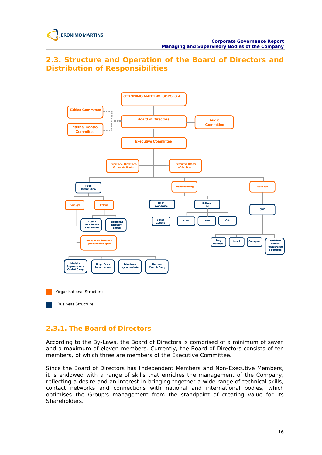# **2.3. Structure and Operation of the Board of Directors and Distribution of Responsibilities**



# **2.3.1. The Board of Directors**

According to the By-Laws, the Board of Directors is comprised of a minimum of seven and a maximum of eleven members. Currently, the Board of Directors consists of ten members, of which three are members of the Executive Committee.

Since the Board of Directors has Independent Members and Non-Executive Members, it is endowed with a range of skills that enriches the management of the Company, reflecting a desire and an interest in bringing together a wide range of technical skills, contact networks and connections with national and international bodies, which optimises the Group's management from the standpoint of creating value for its Shareholders.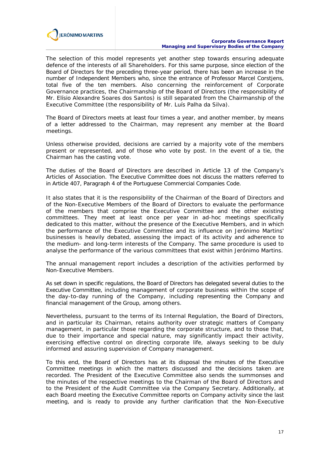

The selection of this model represents yet another step towards ensuring adequate defence of the interests of all Shareholders. For this same purpose, since election of the Board of Directors for the preceding three-year period, there has been an increase in the number of Independent Members who, since the entrance of Professor Marcel Corstjens, total five of the ten members. Also concerning the reinforcement of Corporate Governance practices, the Chairmanship of the Board of Directors (the responsibility of Mr. Elísio Alexandre Soares dos Santos) is still separated from the Chairmanship of the Executive Committee (the responsibility of Mr. Luís Palha da Silva).

The Board of Directors meets at least four times a year, and another member, by means of a letter addressed to the Chairman, may represent any member at the Board meetings.

Unless otherwise provided, decisions are carried by a majority vote of the members present or represented, and of those who vote by post. In the event of a tie, the Chairman has the casting vote.

The duties of the Board of Directors are described in Article 13 of the Company's Articles of Association. The Executive Committee does not discuss the matters referred to in Article 407, Paragraph 4 of the Portuguese Commercial Companies Code.

It also states that it is the responsibility of the Chairman of the Board of Directors and of the Non-Executive Members of the Board of Directors to evaluate the performance of the members that comprise the Executive Committee and the other existing committees. They meet at least once per year in *ad-hoc* meetings specifically dedicated to this matter, without the presence of the Executive Members, and in which the performance of the Executive Committee and its influence on Jerónimo Martins' businesses is heavily debated, assessing the impact of its activity and adherence to the medium- and long-term interests of the Company. The same procedure is used to analyse the performance of the various committees that exist within Jerónimo Martins.

The annual management report includes a description of the activities performed by Non-Executive Members.

As set down in specific regulations, the Board of Directors has delegated several duties to the Executive Committee, including management of corporate business within the scope of the day-to-day running of the Company, including representing the Company and financial management of the Group, among others.

Nevertheless, pursuant to the terms of its Internal Regulation, the Board of Directors, and in particular its Chairman, retains authority over strategic matters of Company management, in particular those regarding the corporate structure, and to those that, due to their importance and special nature, may significantly impact their activity, exercising effective control on directing corporate life, always seeking to be duly informed and assuring supervision of Company management.

To this end, the Board of Directors has at its disposal the minutes of the Executive Committee meetings in which the matters discussed and the decisions taken are recorded. The President of the Executive Committee also sends the summonses and the minutes of the respective meetings to the Chairman of the Board of Directors and to the President of the Audit Committee via the Company Secretary. Additionally, at each Board meeting the Executive Committee reports on Company activity since the last meeting, and is ready to provide any further clarification that the Non-Executive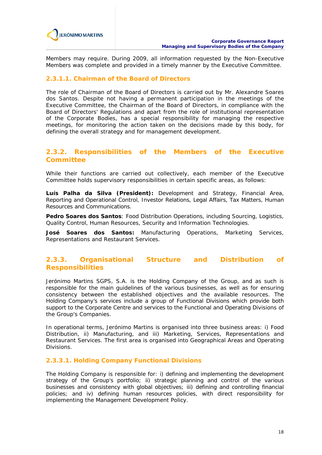

Members may require. During 2009, all information requested by the Non-Executive Members was complete and provided in a timely manner by the Executive Committee.

### **2.3.1.1. Chairman of the Board of Directors**

The role of Chairman of the Board of Directors is carried out by Mr. Alexandre Soares dos Santos. Despite not having a permanent participation in the meetings of the Executive Committee, the Chairman of the Board of Directors, in compliance with the Board of Directors' Regulations and apart from the role of institutional representation of the Corporate Bodies, has a special responsibility for managing the respective meetings, for monitoring the action taken on the decisions made by this body, for defining the overall strategy and for management development.

### **2.3.2. Responsibilities of the Members of the Executive Committee**

While their functions are carried out collectively, each member of the Executive Committee holds supervisory responsibilities in certain specific areas, as follows:

**Luís Palha da Silva (President):** Development and Strategy, Financial Area, Reporting and Operational Control, Investor Relations, Legal Affairs, Tax Matters, Human Resources and Communications.

**Pedro Soares dos Santos**: Food Distribution Operations, including Sourcing, Logistics, Quality Control, Human Resources, Security and Information Technologies.

**José Soares dos Santos:** Manufacturing Operations, Marketing Services, Representations and Restaurant Services.

### **2.3.3. Organisational Structure and Distribution of Responsibilities**

Jerónimo Martins SGPS, S.A. is the Holding Company of the Group, and as such is responsible for the main guidelines of the various businesses, as well as for ensuring consistency between the established objectives and the available resources. The Holding Company's services include a group of Functional Divisions which provide both support to the Corporate Centre and services to the Functional and Operating Divisions of the Group's Companies.

In operational terms, Jerónimo Martins is organised into three business areas: i) Food Distribution, ii) Manufacturing, and iii) Marketing, Services, Representations and Restaurant Services. The first area is organised into Geographical Areas and Operating Divisions.

#### **2.3.3.1. Holding Company Functional Divisions**

The Holding Company is responsible for: i) defining and implementing the development strategy of the Group's portfolio; ii) strategic planning and control of the various businesses and consistency with global objectives; iii) defining and controlling financial policies; and iv) defining human resources policies, with direct responsibility for implementing the Management Development Policy.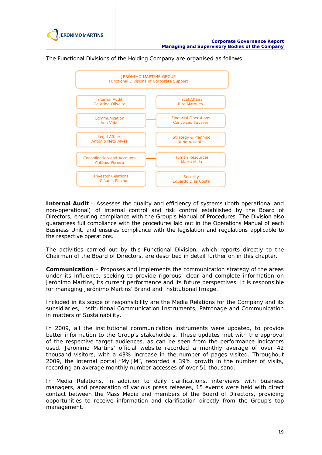

The Functional Divisions of the Holding Company are organised as follows:



**Internal Audit** – Assesses the quality and efficiency of systems (both operational and non-operational) of internal control and risk control established by the Board of Directors, ensuring compliance with the Group's Manual of Procedures. The Division also guarantees full compliance with the procedures laid out in the Operations Manual of each Business Unit, and ensures compliance with the legislation and regulations applicable to the respective operations.

The activities carried out by this Functional Division, which reports directly to the Chairman of the Board of Directors, are described in detail further on in this chapter.

**Communication** – Proposes and implements the communication strategy of the areas under its influence, seeking to provide rigorous, clear and complete information on Jerónimo Martins, its current performance and its future perspectives. It is responsible for managing Jerónimo Martins' Brand and Institutional Image.

Included in its scope of responsibility are the Media Relations for the Company and its subsidiaries, Institutional Communication Instruments, Patronage and Communication in matters of Sustainability.

In 2009, all the institutional communication instruments were updated, to provide better information to the Group's stakeholders. These updates met with the approval of the respective target audiences, as can be seen from the performance indicators used. Jerónimo Martins' official website recorded a monthly average of over 42 thousand visitors, with a 43% increase in the number of pages visited. Throughout 2009, the internal portal "My.JM", recorded a 39% growth in the number of visits, recording an average monthly number accesses of over 51 thousand.

In Media Relations, in addition to daily clarifications, interviews with business managers, and preparation of various press releases, 15 events were held with direct contact between the Mass Media and members of the Board of Directors, providing opportunities to receive information and clarification directly from the Group's top management.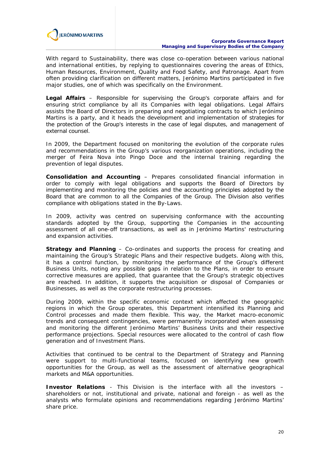

With regard to Sustainability, there was close co-operation between various national and international entities, by replying to questionnaires covering the areas of Ethics, Human Resources, Environment, Quality and Food Safety, and Patronage. Apart from often providing clarification on different matters, Jerónimo Martins participated in five major studies, one of which was specifically on the Environment.

**Legal Affairs** – Responsible for supervising the Group's corporate affairs and for ensuring strict compliance by all its Companies with legal obligations. Legal Affairs assists the Board of Directors in preparing and negotiating contracts to which Jerónimo Martins is a party, and it heads the development and implementation of strategies for the protection of the Group's interests in the case of legal disputes, and management of external counsel.

In 2009, the Department focused on monitoring the evolution of the corporate rules and recommendations in the Group's various reorganization operations, including the merger of Feira Nova into Pingo Doce and the internal training regarding the prevention of legal disputes.

**Consolidation and Accounting** – Prepares consolidated financial information in order to comply with legal obligations and supports the Board of Directors by implementing and monitoring the policies and the accounting principles adopted by the Board that are common to all the Companies of the Group. The Division also verifies compliance with obligations stated in the By-Laws.

In 2009, activity was centred on supervising conformance with the accounting standards adopted by the Group, supporting the Companies in the accounting assessment of all one-off transactions, as well as in Jerónimo Martins' restructuring and expansion activities.

**Strategy and Planning** – Co-ordinates and supports the process for creating and maintaining the Group's Strategic Plans and their respective budgets. Along with this, it has a control function, by monitoring the performance of the Group's different Business Units, noting any possible gaps in relation to the Plans, in order to ensure corrective measures are applied, that guarantee that the Group's strategic objectives are reached. In addition, it supports the acquisition or disposal of Companies or Businesses, as well as the corporate restructuring processes.

During 2009, within the specific economic context which affected the geographic regions in which the Group operates, this Department intensified its Planning and Control processes and made them flexible. This way, the Market macro-economic trends and consequent contingencies, were permanently incorporated when assessing and monitoring the different Jerónimo Martins' Business Units and their respective performance projections. Special resources were allocated to the control of cash flow generation and of Investment Plans.

Activities that continued to be central to the Department of Strategy and Planning were support to multi-functional teams, focused on identifying new growth opportunities for the Group, as well as the assessment of alternative geographical markets and M&A opportunities.

**Investor Relations** - This Division is the interface with all the investors – shareholders or not, institutional and private, national and foreign - as well as the analysts who formulate opinions and recommendations regarding Jerónimo Martins' share price.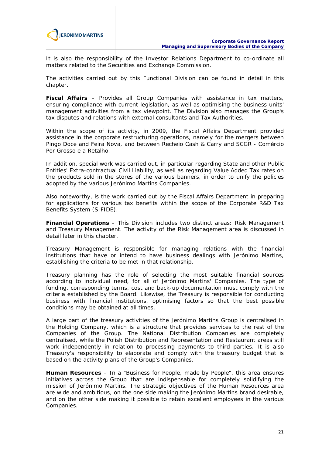

It is also the responsibility of the Investor Relations Department to co-ordinate all matters related to the Securities and Exchange Commission.

The activities carried out by this Functional Division can be found in detail in this chapter.

**Fiscal Affairs** – Provides all Group Companies with assistance in tax matters, ensuring compliance with current legislation, as well as optimising the business units' management activities from a tax viewpoint. The Division also manages the Group's tax disputes and relations with external consultants and Tax Authorities.

Within the scope of its activity, in 2009, the Fiscal Affairs Department provided assistance in the corporate restructuring operations, namely for the mergers between Pingo Doce and Feira Nova, and between Recheio Cash & Carry and SCGR - Comércio Por Grosso e a Retalho.

In addition, special work was carried out, in particular regarding State and other Public Entities' Extra-contractual Civil Liability, as well as regarding Value Added Tax rates on the products sold in the stores of the various banners, in order to unify the policies adopted by the various Jerónimo Martins Companies.

Also noteworthy, is the work carried out by the Fiscal Affairs Department in preparing for applications for various tax benefits within the scope of the Corporate R&D Tax Benefits System (SIFIDE).

**Financial Operations** – This Division includes two distinct areas: Risk Management and Treasury Management. The activity of the Risk Management area is discussed in detail later in this chapter.

Treasury Management is responsible for managing relations with the financial institutions that have or intend to have business dealings with Jerónimo Martins, establishing the criteria to be met in that relationship.

Treasury planning has the role of selecting the most suitable financial sources according to individual need, for all of Jerónimo Martins' Companies. The type of funding, corresponding terms, cost and back-up documentation must comply with the criteria established by the Board. Likewise, the Treasury is responsible for conducting business with financial institutions, optimising factors so that the best possible conditions may be obtained at all times.

A large part of the treasury activities of the Jerónimo Martins Group is centralised in the Holding Company, which is a structure that provides services to the rest of the Companies of the Group. The National Distribution Companies are completely centralised, while the Polish Distribution and Representation and Restaurant areas still work independently in relation to processing payments to third parties. It is also Treasury's responsibility to elaborate and comply with the treasury budget that is based on the activity plans of the Group's Companies.

**Human Resources** – In a "Business for People, made by People", this area ensures initiatives across the Group that are indispensable for completely solidifying the mission of Jerónimo Martins. The strategic objectives of the Human Resources area are wide and ambitious, on the one side making the Jerónimo Martins brand desirable, and on the other side making it possible to retain excellent employees in the various Companies.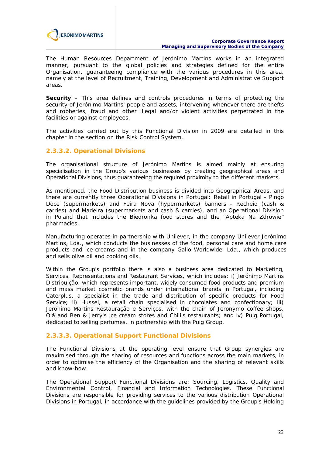

The Human Resources Department of Jerónimo Martins works in an integrated manner, pursuant to the global policies and strategies defined for the entire Organisation, guaranteeing compliance with the various procedures in this area, namely at the level of Recruitment, Training, Development and Administrative Support areas.

**Security** – This area defines and controls procedures in terms of protecting the security of Jerónimo Martins' people and assets, intervening whenever there are thefts and robberies, fraud and other illegal and/or violent activities perpetrated in the facilities or against employees.

The activities carried out by this Functional Division in 2009 are detailed in this chapter in the section on the Risk Control System.

#### **2.3.3.2. Operational Divisions**

The organisational structure of Jerónimo Martins is aimed mainly at ensuring specialisation in the Group's various businesses by creating geographical areas and Operational Divisions, thus guaranteeing the required proximity to the different markets.

As mentioned, the Food Distribution business is divided into Geographical Areas, and there are currently three Operational Divisions in Portugal: Retail in Portugal - Pingo Doce (supermarkets) and Feira Nova (hypermarkets) banners - Recheio (cash & carries) and Madeira (supermarkets and cash & carries), and an Operational Division in Poland that includes the Biedronka food stores and the "Apteka Na Zdrowie" pharmacies.

Manufacturing operates in partnership with Unilever, in the company Unilever Jerónimo Martins, Lda., which conducts the businesses of the food, personal care and home care products and ice-creams and in the company Gallo Worldwide, Lda., which produces and sells olive oil and cooking oils.

Within the Group's portfolio there is also a business area dedicated to Marketing, Services, Representations and Restaurant Services, which includes: i) Jerónimo Martins Distribuição, which represents important, widely consumed food products and premium and mass market cosmetic brands under international brands in Portugal, including Caterplus, a specialist in the trade and distribution of specific products for Food Service; ii) Hussel, a retail chain specialised in chocolates and confectionary; iii) Jerónimo Martins Restauração e Serviços, with the chain of Jeronymo coffee shops, Olá and Ben & Jerry's ice cream stores and Chili's restaurants; and iv) Puig Portugal, dedicated to selling perfumes, in partnership with the Puig Group.

### **2.3.3.3. Operational Support Functional Divisions**

The Functional Divisions at the operating level ensure that Group synergies are maximised through the sharing of resources and functions across the main markets, in order to optimise the efficiency of the Organisation and the sharing of relevant skills and know-how.

The Operational Support Functional Divisions are: Sourcing, Logistics, Quality and Environmental Control, Financial and Information Technologies. These Functional Divisions are responsible for providing services to the various distribution Operational Divisions in Portugal, in accordance with the guidelines provided by the Group's Holding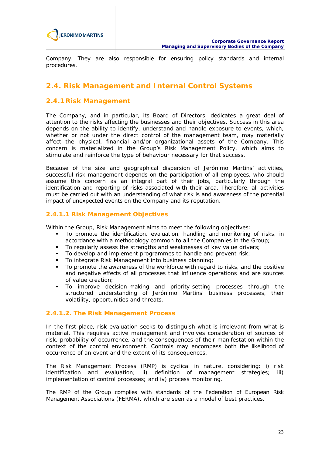

Company. They are also responsible for ensuring policy standards and internal procedures.

# **2.4. Risk Management and Internal Control Systems**

### **2.4.1 Risk Management**

The Company, and in particular, its Board of Directors, dedicates a great deal of attention to the risks affecting the businesses and their objectives. Success in this area depends on the ability to identify, understand and handle exposure to events, which, whether or not under the direct control of the management team, may materially affect the physical, financial and/or organizational assets of the Company. This concern is materialized in the Group's Risk Management Policy, which aims to stimulate and reinforce the type of behaviour necessary for that success.

Because of the size and geographical dispersion of Jerónimo Martins' activities, successful risk management depends on the participation of all employees, who should assume this concern as an integral part of their jobs, particularly through the identification and reporting of risks associated with their area. Therefore, all activities must be carried out with an understanding of what risk is and awareness of the potential impact of unexpected events on the Company and its reputation.

#### **2.4.1.1 Risk Management Objectives**

Within the Group, Risk Management aims to meet the following objectives:

- To promote the identification, evaluation, handling and monitoring of risks, in accordance with a methodology common to all the Companies in the Group;
- To regularly assess the strengths and weaknesses of key value drivers;
- To develop and implement programmes to handle and prevent risk;
- To integrate Risk Management into business planning;
- To promote the awareness of the workforce with regard to risks, and the positive and negative effects of all processes that influence operations and are sources of value creation;
- To improve decision-making and priority-setting processes through the structured understanding of Jerónimo Martins' business processes, their volatility, opportunities and threats.

#### **2.4.1.2. The Risk Management Process**

In the first place, risk evaluation seeks to distinguish what is irrelevant from what is material. This requires active management and involves consideration of sources of risk, probability of occurrence, and the consequences of their manifestation within the context of the control environment. Controls may encompass both the likelihood of occurrence of an event and the extent of its consequences.

The Risk Management Process (RMP) is cyclical in nature, considering: i) risk identification and evaluation; ii) definition of management strategies; iii) implementation of control processes; and iv) process monitoring.

The RMP of the Group complies with standards of the Federation of European Risk Management Associations (FERMA), which are seen as a model of best practices.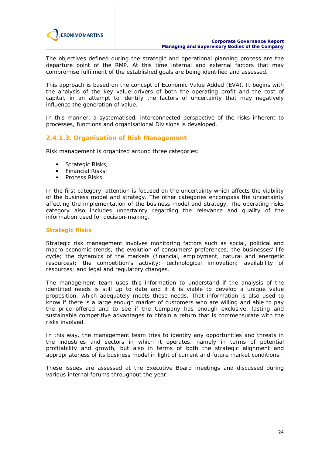

The objectives defined during the strategic and operational planning process are the departure point of the RMP. At this time internal and external factors that may compromise fulfilment of the established goals are being identified and assessed.

This approach is based on the concept of Economic Value Added (EVA). It begins with the analysis of the key value drivers of both the operating profit and the cost of capital, in an attempt to identify the factors of uncertainty that may negatively influence the generation of value.

In this manner, a systematised, interconnected perspective of the risks inherent to processes, functions and organisational Divisions is developed.

### **2.4.1.3. Organisation of Risk Management**

Risk management is organized around three categories:

- **Strategic Risks;**
- $\blacksquare$  Financial Risks:
- **Process Risks.**

In the first category, attention is focused on the uncertainty which affects the viability of the business model and strategy. The other categories encompass the uncertainty affecting the implementation of the business model and strategy. The operating risks category also includes uncertainty regarding the relevance and quality of the information used for decision-making.

#### **Strategic Risks**

Strategic risk management involves monitoring factors such as social, political and macro-economic trends; the evolution of consumers' preferences; the businesses' life cycle; the dynamics of the markets (financial, employment, natural and energetic resources); the competition's activity; technological innovation; availability of resources; and legal and regulatory changes.

The management team uses this information to understand if the analysis of the identified needs is still up to date and if it is viable to develop a unique value proposition, which adequately meets those needs. That information is also used to know if there is a large enough market of customers who are willing and able to pay the price offered and to see if the Company has enough exclusive, lasting and sustainable competitive advantages to obtain a return that is commensurate with the risks involved.

In this way, the management team tries to identify any opportunities and threats in the industries and sectors in which it operates, namely in terms of potential profitability and growth, but also in terms of both the strategic alignment and appropriateness of its business model in light of current and future market conditions.

These issues are assessed at the Executive Board meetings and discussed during various internal forums throughout the year.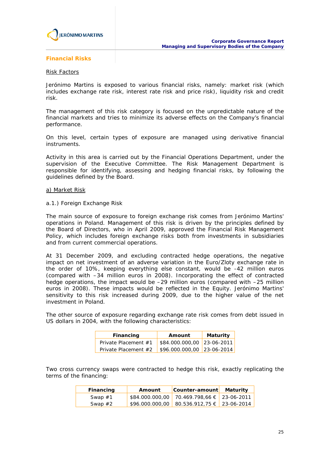

#### **Financial Risks**

#### Risk Factors

Jerónimo Martins is exposed to various financial risks, namely: market risk (which includes exchange rate risk, interest rate risk and price risk), liquidity risk and credit risk.

The management of this risk category is focused on the unpredictable nature of the financial markets and tries to minimize its adverse effects on the Company's financial performance.

On this level, certain types of exposure are managed using derivative financial instruments.

Activity in this area is carried out by the Financial Operations Department, under the supervision of the Executive Committee. The Risk Management Department is responsible for identifying, assessing and hedging financial risks, by following the guidelines defined by the Board.

#### a) Market Risk

a.1.) Foreign Exchange Risk

The main source of exposure to foreign exchange risk comes from Jerónimo Martins' operations in Poland. Management of this risk is driven by the principles defined by the Board of Directors, who in April 2009, approved the Financial Risk Management Policy, which includes foreign exchange risks both from investments in subsidiaries and from current commercial operations.

At 31 December 2009, and excluding contracted hedge operations, the negative impact on net investment of an adverse variation in the Euro/Zloty exchange rate in the order of 10%, keeping everything else constant, would be -42 million euros (compared with –34 million euros in 2008). Incorporating the effect of contracted hedge operations, the impact would be –29 million euros (compared with –25 million euros in 2008). These impacts would be reflected in the Equity. Jerónimo Martins' sensitivity to this risk increased during 2009, due to the higher value of the net investment in Poland.

The other source of exposure regarding exchange rate risk comes from debt issued in US dollars in 2004, with the following characteristics:

| <b>Financing</b>     | Amount                        | <b>Maturity</b> |
|----------------------|-------------------------------|-----------------|
| Private Placement #1 | $$84.000.000,00$ 23-06-2011   |                 |
| Private Placement #2 | $$96.000.000,00$   23-06-2014 |                 |

Two cross currency swaps were contracted to hedge this risk, exactly replicating the terms of the financing:

| Financing | Amount | Counter-amount Maturity                         |  |
|-----------|--------|-------------------------------------------------|--|
| Swap $#1$ |        | $$84.000.000,00$ 70.469.798,66 $\in$ 23-06-2011 |  |
| Swap $#2$ |        | $$96.000.000,00$ 80.536.912,75 $\in$ 23-06-2014 |  |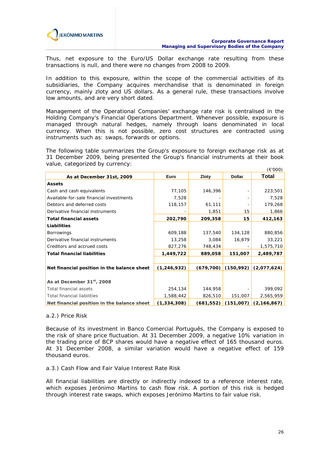

Thus, net exposure to the Euro/US Dollar exchange rate resulting from these transactions is null, and there were no changes from 2008 to 2009.

In addition to this exposure, within the scope of the commercial activities of its subsidiaries, the Company acquires merchandise that is denominated in foreign currency, mainly zloty and US dollars. As a general rule, these transactions involve low amounts, and are very short dated.

Management of the Operational Companies' exchange rate risk is centralised in the Holding Company's Financial Operations Department. Whenever possible, exposure is managed through natural hedges, namely through loans denominated in local currency. When this is not possible, zero cost structures are contracted using instruments such as: swaps, forwards or options.

The following table summarizes the Group's exposure to foreign exchange risk as at 31 December 2009, being presented the Group's financial instruments at their book value, categorized by currency:

|                                             |               |            |               | (€'000)       |
|---------------------------------------------|---------------|------------|---------------|---------------|
| As at December 31st, 2009                   | Euro          | Zloty      | <b>Dollar</b> | Total         |
| <b>Assets</b>                               |               |            |               |               |
| Cash and cash equivalents                   | 77,105        | 146,396    |               | 223,501       |
| Available-for-sale financial investments    | 7,528         |            |               | 7,528         |
| Debtors and deferred costs                  | 118,157       | 61,111     |               | 179,268       |
| Derivative financial instruments            |               | 1,851      | 15            | 1,866         |
| <b>Total financial assets</b>               | 202,790       | 209,358    | 15            | 412,163       |
| Liabilities                                 |               |            |               |               |
| <b>Borrowings</b>                           | 609,188       | 137,540    | 134,128       | 880,856       |
| Derivative financial instruments            | 13,258        | 3,084      | 16,879        | 33,221        |
| Creditors and accrued costs                 | 827,276       | 748,434    |               | 1,575,710     |
| <b>Total financial liabilities</b>          | 1,449,722     | 889,058    | 151,007       | 2,489,787     |
|                                             |               |            |               |               |
| Net financial position in the balance sheet | (1, 246, 932) | (679, 700) | (150, 992)    | (2,077,624)   |
|                                             |               |            |               |               |
| As at December 31 <sup>st</sup> , 2008      |               |            |               |               |
| Total financial assets                      | 254,134       | 144,958    |               | 399,092       |
| <b>Total financial liabilities</b>          | 1,588,442     | 826,510    | 151,007       | 2,565,959     |
| Net financial position in the balance sheet | (1,334,308)   | (681, 552) | (151,007)     | (2, 166, 867) |

#### a.2.) Price Risk

Because of its investment in Banco Comercial Português, the Company is exposed to the risk of share price fluctuation. At 31 December 2009, a negative 10% variation in the trading price of BCP shares would have a negative effect of 165 thousand euros. At 31 December 2008, a similar variation would have a negative effect of 159 thousand euros.

a.3.) Cash Flow and Fair Value Interest Rate Risk

All financial liabilities are directly or indirectly indexed to a reference interest rate, which exposes Jerónimo Martins to cash flow risk. A portion of this risk is hedged through interest rate swaps, which exposes Jerónimo Martins to fair value risk.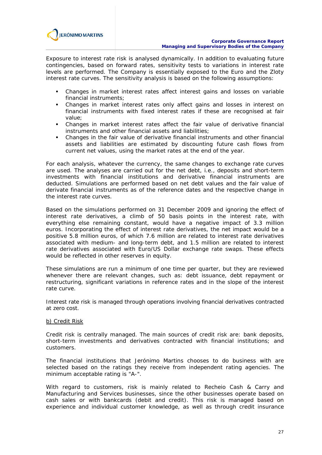

Exposure to interest rate risk is analysed dynamically. In addition to evaluating future contingencies, based on forward rates, sensitivity tests to variations in interest rate levels are performed. The Company is essentially exposed to the Euro and the Zloty interest rate curves. The sensitivity analysis is based on the following assumptions:

- Changes in market interest rates affect interest gains and losses on variable financial instruments;
- Changes in market interest rates only affect gains and losses in interest on financial instruments with fixed interest rates if these are recognised at fair value;
- Changes in market interest rates affect the fair value of derivative financial instruments and other financial assets and liabilities;
- Changes in the fair value of derivative financial instruments and other financial assets and liabilities are estimated by discounting future cash flows from current net values, using the market rates at the end of the year.

For each analysis, whatever the currency, the same changes to exchange rate curves are used. The analyses are carried out for the net debt, i.e., deposits and short-term investments with financial institutions and derivative financial instruments are deducted. Simulations are performed based on net debt values and the fair value of derivate financial instruments as of the reference dates and the respective change in the interest rate curves.

Based on the simulations performed on 31 December 2009 and ignoring the effect of interest rate derivatives, a climb of 50 basis points in the interest rate, with everything else remaining constant, would have a negative impact of 3.3 million euros. Incorporating the effect of interest rate derivatives, the net impact would be a positive 5.8 million euros, of which 7.6 million are related to interest rate derivatives associated with medium- and long-term debt, and 1.5 million are related to interest rate derivatives associated with Euro/US Dollar exchange rate swaps. These effects would be reflected in other reserves in equity.

These simulations are run a minimum of one time per quarter, but they are reviewed whenever there are relevant changes, such as: debt issuance, debt repayment or restructuring, significant variations in reference rates and in the slope of the interest rate curve.

Interest rate risk is managed through operations involving financial derivatives contracted at zero cost.

#### b) Credit Risk

Credit risk is centrally managed. The main sources of credit risk are: bank deposits, short-term investments and derivatives contracted with financial institutions; and customers.

The financial institutions that Jerónimo Martins chooses to do business with are selected based on the ratings they receive from independent rating agencies. The minimum acceptable rating is "A-".

With regard to customers, risk is mainly related to Recheio Cash & Carry and Manufacturing and Services businesses, since the other businesses operate based on cash sales or with bankcards (debit and credit). This risk is managed based on experience and individual customer knowledge, as well as through credit insurance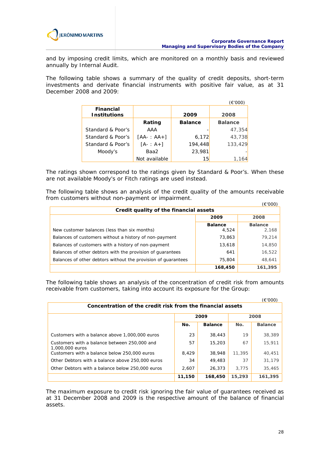

and by imposing credit limits, which are monitored on a monthly basis and reviewed annually by Internal Audit.

The following table shows a summary of the quality of credit deposits, short-term investments and derivate financial instruments with positive fair value, as at 31 December 2008 and 2009:

|                                         |                             |                | (€'000)        |
|-----------------------------------------|-----------------------------|----------------|----------------|
| <b>Financial</b><br><b>Institutions</b> |                             | 2009           | 2008           |
|                                         | Rating                      | <b>Balance</b> | <b>Balance</b> |
| Standard & Poor's                       | AAA                         |                | 47,354         |
| Standard & Poor's                       | $\lceil AA - : AA + \rceil$ | 6,172          | 43,738         |
| Standard & Poor's                       | $[A - : A +]$               | 194,448        | 133,429        |
| Moody's                                 | Baa2                        | 23,981         |                |
|                                         | Not available               | 15             |                |

The ratings shown correspond to the ratings given by Standard & Poor's. When these are not available Moody's or Fitch ratings are used instead.

The following table shows an analysis of the credit quality of the amounts receivable from customers without non-payment or impairment.

| (€'000)                                                       |                                        |                |  |  |  |  |
|---------------------------------------------------------------|----------------------------------------|----------------|--|--|--|--|
|                                                               | Credit quality of the financial assets |                |  |  |  |  |
|                                                               | 2009                                   | 2008           |  |  |  |  |
|                                                               | <b>Balance</b>                         | <b>Balance</b> |  |  |  |  |
| New customer balances (less than six months)                  | 4,524                                  | 2,168          |  |  |  |  |
| Balances of customers without a history of non-payment        | 73,863                                 | 79,214         |  |  |  |  |
| Balances of customers with a history of non-payment           | 13,618                                 | 14,850         |  |  |  |  |
| Balances of other debtors with the provision of quarantees    | 641                                    | 16,522         |  |  |  |  |
| Balances of other debtors without the provision of quarantees | 75,804                                 | 48,641         |  |  |  |  |
|                                                               | 168,450                                | 161,395        |  |  |  |  |

The following table shows an analysis of the concentration of credit risk from amounts receivable from customers, taking into account its exposure for the Group:

|                                                                 |                                                |         |        | (€'000) |  |
|-----------------------------------------------------------------|------------------------------------------------|---------|--------|---------|--|
| Concentration of the credit risk from the financial assets      |                                                |         |        |         |  |
| 2009<br>2008                                                    |                                                |         |        |         |  |
|                                                                 | <b>Balance</b><br>No.<br><b>Balance</b><br>No. |         |        |         |  |
| Customers with a balance above 1,000,000 euros                  | 23                                             | 38,443  | 19     | 38,389  |  |
| Customers with a balance between 250,000 and<br>1,000,000 euros | 57                                             | 15,203  | 67     | 15,911  |  |
| Customers with a balance below 250,000 euros                    | 8.429                                          | 38,948  | 11,395 | 40,451  |  |
| Other Debtors with a balance above 250,000 euros                | 34                                             | 49,483  | 37     | 31,179  |  |
| Other Debtors with a balance below 250,000 euros                | 2.607                                          | 26,373  | 3.775  | 35,465  |  |
|                                                                 | 11,150                                         | 168,450 | 15,293 | 161,395 |  |

The maximum exposure to credit risk ignoring the fair value of guarantees received as at 31 December 2008 and 2009 is the respective amount of the balance of financial assets.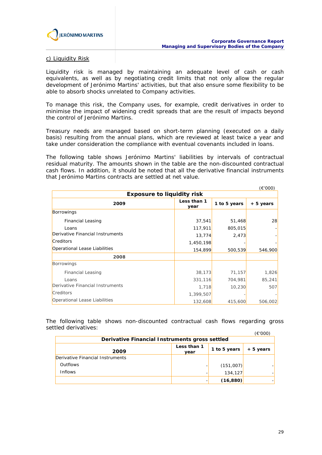

#### c) Liquidity Risk

Liquidity risk is managed by maintaining an adequate level of cash or cash equivalents, as well as by negotiating credit limits that not only allow the regular development of Jerónimo Martins' activities, but that also ensure some flexibility to be able to absorb shocks unrelated to Company activities.

To manage this risk, the Company uses, for example, credit derivatives in order to minimise the impact of widening credit spreads that are the result of impacts beyond the control of Jerónimo Martins.

Treasury needs are managed based on short-term planning (executed on a daily basis) resulting from the annual plans, which are reviewed at least twice a year and take under consideration the compliance with eventual covenants included in loans.

The following table shows Jerónimo Martins' liabilities by intervals of contractual residual maturity. The amounts shown in the table are the non-discounted contractual cash flows. In addition, it should be noted that all the derivative financial instruments that Jerónimo Martins contracts are settled at net value.

|                                   |  |                     |              | (€'000)   |  |
|-----------------------------------|--|---------------------|--------------|-----------|--|
| <b>Exposure to liquidity risk</b> |  |                     |              |           |  |
| 2009                              |  | Less than 1<br>year | 1 to 5 years | + 5 years |  |
| Borrowings                        |  |                     |              |           |  |
| <b>Financial Leasing</b>          |  | 37,541              | 51,468       | 28        |  |
| Loans                             |  | 117,911             | 805,015      |           |  |
| Derivative Financial Instruments  |  | 13,774              | 2,473        |           |  |
| <b>Creditors</b>                  |  | 1,450,198           |              |           |  |
| Operational Lease Liabilities     |  | 154,899             | 500,539      | 546,900   |  |
| 2008                              |  |                     |              |           |  |
| Borrowings                        |  |                     |              |           |  |
| <b>Financial Leasing</b>          |  | 38,173              | 71,157       | 1,826     |  |
| Loans                             |  | 331,116             | 704,981      | 85,241    |  |
| Derivative Financial Instruments  |  | 1,718               | 10,230       | 507       |  |
| <b>Creditors</b>                  |  | 1,399,507           |              |           |  |
| Operational Lease Liabilities     |  | 132,608             | 415,600      | 506,002   |  |

The following table shows non-discounted contractual cash flows regarding gross settled derivatives:

|                                                |                     |              | (€'000)   |  |
|------------------------------------------------|---------------------|--------------|-----------|--|
| Derivative Financial Instruments gross settled |                     |              |           |  |
| 2009                                           | Less than 1<br>year | 1 to 5 years | + 5 years |  |
| Derivative Financial Instruments               |                     |              |           |  |
| Outflows                                       |                     | (151,007)    |           |  |
| <b>Inflows</b>                                 |                     | 134,127      |           |  |
|                                                |                     | (16, 880)    |           |  |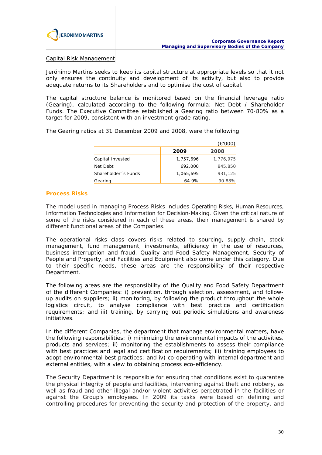

#### Capital Risk Management

Jerónimo Martins seeks to keep its capital structure at appropriate levels so that it not only ensures the continuity and development of its activity, but also to provide adequate returns to its Shareholders and to optimise the cost of capital.

The capital structure balance is monitored based on the financial leverage ratio (Gearing), calculated according to the following formula: Net Debt / Shareholder Funds. The Executive Committee established a Gearing ratio between 70-80% as a target for 2009, consistent with an investment grade rating.

The Gearing ratios at 31 December 2009 and 2008, were the following:

|                      |           | (E'000)   |
|----------------------|-----------|-----------|
|                      | 2009      | 2008      |
| Capital Invested     | 1,757,696 | 1,776,975 |
| Net Debt             | 692,000   | 845,850   |
| Shareholder 's Funds | 1,065,695 | 931,125   |
| Gearing              | 64.9%     | 90.88%    |

#### **Process Risks**

The model used in managing Process Risks includes Operating Risks, Human Resources, Information Technologies and Information for Decision-Making. Given the critical nature of some of the risks considered in each of these areas, their management is shared by different functional areas of the Companies.

The operational risks class covers risks related to sourcing, supply chain, stock management, fund management, investments, efficiency in the use of resources, business interruption and fraud. Quality and Food Safety Management, Security of People and Property, and Facilities and Equipment also come under this category. Due to their specific needs, these areas are the responsibility of their respective Department.

The following areas are the responsibility of the Quality and Food Safety Department of the different Companies: i) prevention, through selection, assessment, and followup audits on suppliers; ii) monitoring, by following the product throughout the whole logistics circuit, to analyse compliance with best practice and certification requirements; and iii) training, by carrying out periodic simulations and awareness initiatives.

In the different Companies, the department that manage environmental matters, have the following responsibilities: i) minimizing the environmental impacts of the activities, products and services; ii) monitoring the establishments to assess their compliance with best practices and legal and certification requirements; iii) training employees to adopt environmental best practices; and iv) co-operating with internal department and external entities, with a view to obtaining process eco-efficiency.

The Security Department is responsible for ensuring that conditions exist to guarantee the physical integrity of people and facilities, intervening against theft and robbery, as well as fraud and other illegal and/or violent activities perpetrated in the facilities or against the Group's employees. In 2009 its tasks were based on defining and controlling procedures for preventing the security and protection of the property, and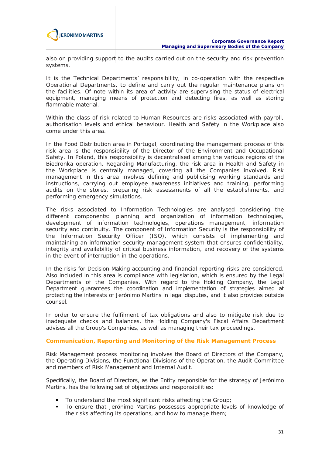

also on providing support to the audits carried out on the security and risk prevention systems.

It is the Technical Departments' responsibility, in co-operation with the respective Operational Departments, to define and carry out the regular maintenance plans on the facilities. Of note within its area of activity are supervising the status of electrical equipment, managing means of protection and detecting fires, as well as storing flammable material.

Within the class of risk related to Human Resources are risks associated with payroll, authorisation levels and ethical behaviour. Health and Safety in the Workplace also come under this area.

In the Food Distribution area in Portugal, coordinating the management process of this risk area is the responsibility of the Director of the Environment and Occupational Safety. In Poland, this responsibility is decentralised among the various regions of the Biedronka operation. Regarding Manufacturing, the risk area in Health and Safety in the Workplace is centrally managed, covering all the Companies involved. Risk management in this area involves defining and publicising working standards and instructions, carrying out employee awareness initiatives and training, performing audits on the stores, preparing risk assessments of all the establishments, and performing emergency simulations.

The risks associated to Information Technologies are analysed considering the different components: planning and organization of information technologies, development of information technologies, operations management, information security and continuity. The component of Information Security is the responsibility of the Information Security Officer (ISO), which consists of implementing and maintaining an information security management system that ensures confidentiality, integrity and availability of critical business information, and recovery of the systems in the event of interruption in the operations.

In the risks for Decision-Making accounting and financial reporting risks are considered. Also included in this area is compliance with legislation, which is ensured by the Legal Departments of the Companies. With regard to the Holding Company, the Legal Department guarantees the coordination and implementation of strategies aimed at protecting the interests of Jerónimo Martins in legal disputes, and it also provides outside counsel.

In order to ensure the fulfilment of tax obligations and also to mitigate risk due to inadequate checks and balances, the Holding Company's Fiscal Affairs Department advises all the Group's Companies, as well as managing their tax proceedings.

#### **Communication, Reporting and Monitoring of the Risk Management Process**

Risk Management process monitoring involves the Board of Directors of the Company, the Operating Divisions, the Functional Divisions of the Operation, the Audit Committee and members of Risk Management and Internal Audit.

Specifically, the Board of Directors, as the Entity responsible for the strategy of Jerónimo Martins, has the following set of objectives and responsibilities:

- To understand the most significant risks affecting the Group;
- To ensure that Jerónimo Martins possesses appropriate levels of knowledge of the risks affecting its operations, and how to manage them;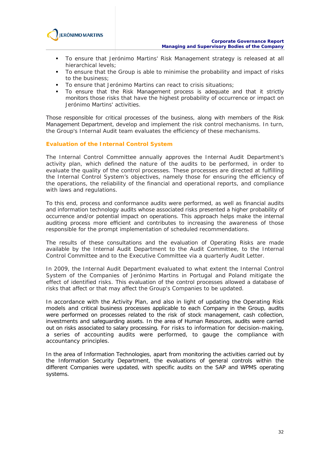

- To ensure that Jerónimo Martins' Risk Management strategy is released at all hierarchical levels;
- To ensure that the Group is able to minimise the probability and impact of risks to the business;
- To ensure that Jerónimo Martins can react to crisis situations;
- To ensure that the Risk Management process is adequate and that it strictly monitors those risks that have the highest probability of occurrence or impact on Jerónimo Martins' activities.

Those responsible for critical processes of the business, along with members of the Risk Management Department, develop and implement the risk control mechanisms. In turn, the Group's Internal Audit team evaluates the efficiency of these mechanisms.

#### **Evaluation of the Internal Control System**

The Internal Control Committee annually approves the Internal Audit Department's activity plan, which defined the nature of the audits to be performed, in order to evaluate the quality of the control processes. These processes are directed at fulfilling the Internal Control System's objectives, namely those for ensuring the efficiency of the operations, the reliability of the financial and operational reports, and compliance with laws and regulations.

To this end, process and conformance audits were performed, as well as financial audits and information technology audits whose associated risks presented a higher probability of occurrence and/or potential impact on operations. This approach helps make the internal auditing process more efficient and contributes to increasing the awareness of those responsible for the prompt implementation of scheduled recommendations.

The results of these consultations and the evaluation of Operating Risks are made available by the Internal Audit Department to the Audit Committee, to the Internal Control Committee and to the Executive Committee via a quarterly Audit Letter.

In 2009, the Internal Audit Department evaluated to what extent the Internal Control System of the Companies of Jerónimo Martins in Portugal and Poland mitigate the effect of identified risks. This evaluation of the control processes allowed a database of risks that affect or that may affect the Group's Companies to be updated.

In accordance with the Activity Plan, and also in light of updating the Operating Risk models and critical business processes applicable to each Company in the Group, audits were performed on processes related to the risk of stock management, cash collection, investments and safeguarding assets. In the area of Human Resources, audits were carried out on risks associated to salary processing. For risks to information for decision-making, a series of accounting audits were performed, to gauge the compliance with accountancy principles.

In the area of Information Technologies, apart from monitoring the activities carried out by the Information Security Department, the evaluations of general controls within the different Companies were updated, with specific audits on the SAP and WPMS operating systems.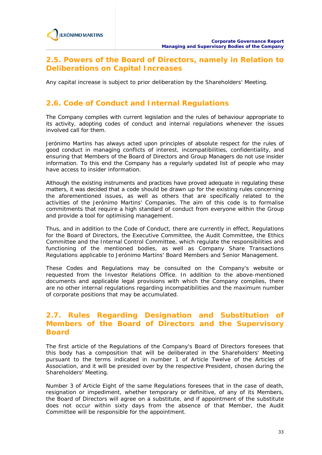# **2.5. Powers of the Board of Directors, namely in Relation to Deliberations on Capital Increases**

Any capital increase is subject to prior deliberation by the Shareholders' Meeting.

# **2.6. Code of Conduct and Internal Regulations**

The Company complies with current legislation and the rules of behaviour appropriate to its activity, adopting codes of conduct and internal regulations whenever the issues involved call for them.

Jerónimo Martins has always acted upon principles of absolute respect for the rules of good conduct in managing conflicts of interest, incompatibilities, confidentiality, and ensuring that Members of the Board of Directors and Group Managers do not use insider information. To this end the Company has a regularly updated list of people who may have access to insider information.

Although the existing instruments and practices have proved adequate in regulating these matters, it was decided that a code should be drawn up for the existing rules concerning the aforementioned issues, as well as others that are specifically related to the activities of the Jerónimo Martins' Companies. The aim of this code is to formalise commitments that require a high standard of conduct from everyone within the Group and provide a tool for optimising management.

Thus, and in addition to the Code of Conduct, there are currently in effect, Regulations for the Board of Directors, the Executive Committee, the Audit Committee, the Ethics Committee and the Internal Control Committee, which regulate the responsibilities and functioning of the mentioned bodies, as well as Company Share Transactions Regulations applicable to Jerónimo Martins' Board Members and Senior Management.

These Codes and Regulations may be consulted on the Company's website or requested from the Investor Relations Office. In addition to the above-mentioned documents and applicable legal provisions with which the Company complies, there are no other internal regulations regarding incompatibilities and the maximum number of corporate positions that may be accumulated.

# **2.7. Rules Regarding Designation and Substitution of Members of the Board of Directors and the Supervisory Board**

The first article of the Regulations of the Company's Board of Directors foresees that this body has a composition that will be deliberated in the Shareholders' Meeting pursuant to the terms indicated in number 1 of Article Twelve of the Articles of Association, and it will be presided over by the respective President, chosen during the Shareholders' Meeting.

Number 3 of Article Eight of the same Regulations foresees that in the case of death, resignation or impediment, whether temporary or definitive, of any of its Members, the Board of Directors will agree on a substitute, and if appointment of the substitute does not occur within sixty days from the absence of that Member, the Audit Committee will be responsible for the appointment.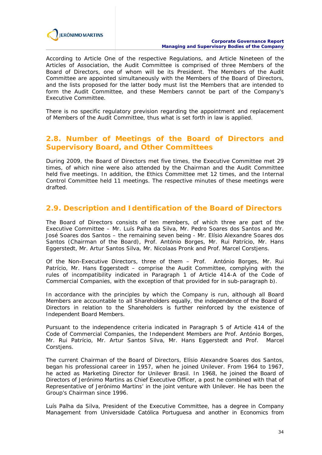

According to Article One of the respective Regulations, and Article Nineteen of the Articles of Association, the Audit Committee is comprised of three Members of the Board of Directors, one of whom will be its President. The Members of the Audit Committee are appointed simultaneously with the Members of the Board of Directors, and the lists proposed for the latter body must list the Members that are intended to form the Audit Committee, and these Members cannot be part of the Company's Executive Committee.

There is no specific regulatory prevision regarding the appointment and replacement of Members of the Audit Committee, thus what is set forth in law is applied.

### **2.8. Number of Meetings of the Board of Directors and Supervisory Board, and Other Committees**

During 2009, the Board of Directors met five times, the Executive Committee met 29 times, of which nine were also attended by the Chairman and the Audit Committee held five meetings. In addition, the Ethics Committee met 12 times, and the Internal Control Committee held 11 meetings. The respective minutes of these meetings were drafted.

## **2.9. Description and Identification of the Board of Directors**

The Board of Directors consists of ten members, of which three are part of the Executive Committee – Mr. Luís Palha da Silva, Mr. Pedro Soares dos Santos and Mr. José Soares dos Santos – the remaining seven being - Mr. Elísio Alexandre Soares dos Santos (Chairman of the Board), Prof. António Borges, Mr. Rui Patrício, Mr. Hans Eggerstedt, Mr. Artur Santos Silva, Mr. Nicolaas Pronk and Prof. Marcel Corstjens.

Of the Non-Executive Directors, three of them – Prof. António Borges, Mr. Rui Patrício, Mr. Hans Eggerstedt – comprise the Audit Committee, complying with the rules of incompatibility indicated in Paragraph 1 of Article 414-A of the Code of Commercial Companies, with the exception of that provided for in sub-paragraph b).

In accordance with the principles by which the Company is run, although all Board Members are accountable to all Shareholders equally, the independence of the Board of Directors in relation to the Shareholders is further reinforced by the existence of Independent Board Members.

Pursuant to the independence criteria indicated in Paragraph 5 of Article 414 of the Code of Commercial Companies, the Independent Members are Prof. António Borges, Mr. Rui Patrício, Mr. Artur Santos Silva, Mr. Hans Eggerstedt and Prof. Marcel Corstjens.

The current Chairman of the Board of Directors, Elísio Alexandre Soares dos Santos, began his professional career in 1957, when he joined Unilever. From 1964 to 1967, he acted as Marketing Director for Unilever Brasil. In 1968, he joined the Board of Directors of Jerónimo Martins as Chief Executive Officer, a post he combined with that of Representative of Jerónimo Martins' in the joint venture with Unilever. He has been the Group's Chairman since 1996.

Luís Palha da Silva, President of the Executive Committee, has a degree in Company Management from Universidade Católica Portuguesa and another in Economics from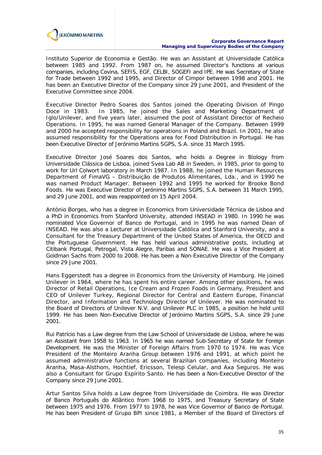

Instituto Superior de Economia e Gestão. He was an Assistant at Universidade Católica between 1985 and 1992. From 1987 on, he assumed Director's functions at various companies, including Covina, SEFIS, EGF, CELBI, SOGEFI and IPE. He was Secretary of State for Trade between 1992 and 1995, and Director of Cimpor between 1998 and 2001. He has been an Executive Director of the Company since 29 June 2001, and President of the Executive Committee since 2004.

Executive Director Pedro Soares dos Santos joined the Operating Division of Pingo Doce in 1983. In 1985, he joined the Sales and Marketing Department of Iglo/Unilever, and five years later, assumed the post of Assistant Director of Recheio Operations. In 1995, he was named General Manager of the Company. Between 1999 and 2000 he accepted responsibility for operations in Poland and Brazil. In 2001, he also assumed responsibility for the Operations area for Food Distribution in Portugal. He has been Executive Director of Jerónimo Martins SGPS, S.A. since 31 March 1995.

Executive Director José Soares dos Santos, who holds a Degree in Biology from Universidade Clássica de Lisboa, joined Svea Lab AB in Sweden, in 1985, prior to going to work for Url Colwort laboratory in March 1987. In 1988, he joined the Human Resources Department of FimaVG – Distribuição de Produtos Alimentares, Lda., and in 1990 he was named Product Manager. Between 1992 and 1995 he worked for Brooke Bond Foods. He was Executive Director of Jerónimo Martins SGPS, S.A. between 31 March 1995, and 29 June 2001, and was reappointed on 15 April 2004.

António Borges, who has a degree in Economics from Universidade Técnica de Lisboa and a PhD in Economics from Stanford University, attended INSEAD in 1980. In 1990 he was nominated Vice Governor of Banco de Portugal, and in 1995 he was named Dean of INSEAD. He was also a Lecturer at Universidade Católica and Stanford University, and a Consultant for the Treasury Department of the United States of America, the OECD and the Portuguese Government. He has held various administrative posts, including at Citibank Portugal, Petrogal, Vista Alegre, Paribas and SONAE. He was a Vice President at Goldman Sachs from 2000 to 2008. He has been a Non-Executive Director of the Company since 29 June 2001.

Hans Eggerstedt has a degree in Economics from the University of Hamburg. He joined Unilever in 1964, where he has spent his entire career. Among other positions, he was Director of Retail Operations, Ice Cream and Frozen Foods in Germany, President and CEO of Unilever Turkey, Regional Director for Central and Eastern Europe, Financial Director, and Information and Technology Director of Unilever. He was nominated to the Board of Directors of Unilever N.V. and Unilever PLC in 1985, a position he held until 1999. He has been Non-Executive Director of Jerónimo Martins SGPS, S.A. since 29 June 2001.

Rui Patrício has a Law degree from the Law School of Universidade de Lisboa, where he was an Assistant from 1958 to 1963. In 1965 he was named Sub-Secretary of State for Foreign Development. He was the Minister of Foreign Affairs from 1970 to 1974. He was Vice President of the Monteiro Aranha Group between 1976 and 1991, at which point he assumed administrative functions at several Brazilian companies, including Monteiro Aranha, Masa-Alsthom, Hochtief, Ericsson, Telesp Celular, and Axa Seguros. He was also a Consultant for Grupo Espírito Santo. He has been a Non-Executive Director of the Company since 29 June 2001.

Artur Santos Silva holds a Law degree from Universidade de Coimbra. He was Director of Banco Português do Atlântico from 1968 to 1975, and Treasury Secretary of State between 1975 and 1976. From 1977 to 1978, he was Vice Governor of Banco de Portugal. He has been President of Grupo BPI since 1981, a Member of the Board of Directors of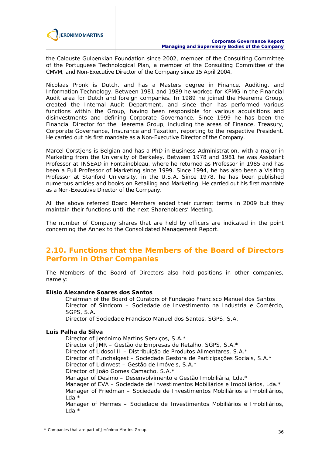

the Calouste Gulbenkian Foundation since 2002, member of the Consulting Committee of the Portuguese Technological Plan, a member of the Consulting Committee of the CMVM, and Non-Executive Director of the Company since 15 April 2004.

Nicolaas Pronk is Dutch, and has a Masters degree in Finance, Auditing, and Information Technology. Between 1981 and 1989 he worked for KPMG in the Financial Audit area for Dutch and foreign companies. In 1989 he joined the Heerema Group, created the Internal Audit Department, and since then has performed various functions within the Group, having been responsible for various acquisitions and disinvestments and defining Corporate Governance. Since 1999 he has been the Financial Director for the Heerema Group, including the areas of Finance, Treasury, Corporate Governance, Insurance and Taxation, reporting to the respective President. He carried out his first mandate as a Non-Executive Director of the Company.

Marcel Corstjens is Belgian and has a PhD in Business Administration, with a major in Marketing from the University of Berkeley. Between 1978 and 1981 he was Assistant Professor at INSEAD in Fontainebleau, where he returned as Professor in 1985 and has been a Full Professor of Marketing since 1999. Since 1994, he has also been a Visiting Professor at Stanford University, in the U.S.A. Since 1978, he has been published numerous articles and books on Retailing and Marketing. He carried out his first mandate as a Non-Executive Director of the Company.

All the above referred Board Members ended their current terms in 2009 but they maintain their functions until the next Shareholders' Meeting.

The number of Company shares that are held by officers are indicated in the point concerning the Annex to the Consolidated Management Report.

### **2.10. Functions that the Members of the Board of Directors Perform in Other Companies**

The Members of the Board of Directors also hold positions in other companies, namely:

#### **Elísio Alexandre Soares dos Santos**

Chairman of the Board of Curators of Fundação Francisco Manuel dos Santos Director of Sindcom – Sociedade de Investimento na Indústria e Comércio, SGPS, S.A.

Director of Sociedade Francisco Manuel dos Santos, SGPS, S.A.

#### **Luís Palha da Silva**

Director of Jerónimo Martins Serviços, S.A.\* Director of JMR – Gestão de Empresas de Retalho, SGPS, S.A.\* Director of Lidosol II – Distribuição de Produtos Alimentares, S.A.\* Director of Funchalgest – Sociedade Gestora de Participações Sociais, S.A.\* Director of Lidinvest – Gestão de Imóveis, S.A.\* Director of João Gomes Camacho, S.A.\* Manager of Desimo – Desenvolvimento e Gestão Imobiliária, Lda.\* Manager of EVA – Sociedade de Investimentos Mobiliários e Imobiliários, Lda.\* Manager of Friedman – Sociedade de Investimentos Mobiliários e Imobiliários, Lda.\* Manager of Hermes – Sociedade de Investimentos Mobiliários e Imobiliários,  $L da.*$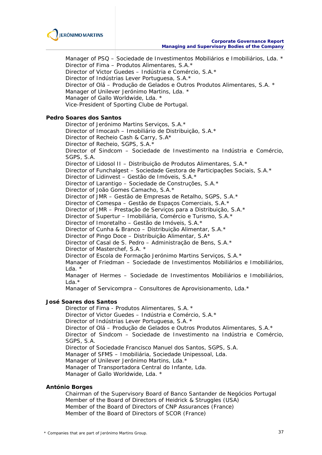

Manager of PSQ – Sociedade de Investimentos Mobiliários e Imobiliários, Lda. \* Director of Fima – Produtos Alimentares, S.A.\* Director of Victor Guedes – Indústria e Comércio, S.A.\* Director of Indústrias Lever Portuguesa, S.A.\* Director of Olá – Produção de Gelados e Outros Produtos Alimentares, S.A. \* Manager of Unilever Jerónimo Martins, Lda. \* Manager of Gallo Worldwide, Lda. \* Vice-President of Sporting Clube de Portugal. **Pedro Soares dos Santos**  Director of Jerónimo Martins Serviços, S.A.\* Director of Imocash – Imobiliário de Distribuição, S.A.\* Director of Recheio Cash & Carry, S.A\* Director of Recheio, SGPS, S.A.\* Director of Sindcom – Sociedade de Investimento na Indústria e Comércio, SGPS, S.A. Director of Lidosol II – Distribuição de Produtos Alimentares, S.A.\* Director of Funchalgest – Sociedade Gestora de Participações Sociais, S.A.\* Director of Lidinvest – Gestão de Imóveis, S.A.\* Director of Larantigo – Sociedade de Construções, S.A.\* Director of João Gomes Camacho, S.A.\* Director of JMR – Gestão de Empresas de Retalho, SGPS, S.A.\* Director of Comespa – Gestão de Espaços Comerciais, S.A.\* Director of JMR – Prestação de Serviços para a Distribuição, S.A.\* Director of Supertur – Imobiliária, Comércio e Turismo, S.A.\* Director of Imoretalho – Gestão de Imóveis, S.A.\* Director of Cunha & Branco – Distribuição Alimentar, S.A.\* Director of Pingo Doce – Distribuição Alimentar, S.A\* Director of Casal de S. Pedro – Administração de Bens, S.A.\* Director of Masterchef, S.A. \* Director of Escola de Formação Jerónimo Martins Serviços, S.A.\* Manager of Friedman – Sociedade de Investimentos Mobiliários e Imobiliários, Lda. \* Manager of Hermes – Sociedade de Investimentos Mobiliários e Imobiliários, Lda.\* Manager of Servicompra – Consultores de Aprovisionamento, Lda.\* **José Soares dos Santos**  Director of Fima - Produtos Alimentares, S.A. \* Director of Victor Guedes – Indústria e Comércio, S.A.\* Director of Indústrias Lever Portuguesa, S.A. \* Director of Olá – Produção de Gelados e Outros Produtos Alimentares, S.A.\* Director of Sindcom – Sociedade de Investimento na Indústria e Comércio, SGPS, S.A. Director of Sociedade Francisco Manuel dos Santos, SGPS, S.A. Manager of SFMS – Imobiliária, Sociedade Unipessoal, Lda. Manager of Unilever Jerónimo Martins, Lda.\*

Manager of Transportadora Central do Infante, Lda.

Manager of Gallo Worldwide, Lda. \*

#### **António Borges**

Chairman of the Supervisory Board of Banco Santander de Negócios Portugal Member of the Board of Directors of Heidrick & Struggles (USA) Member of the Board of Directors of CNP Assurances (France) Member of the Board of Directors of SCOR (France)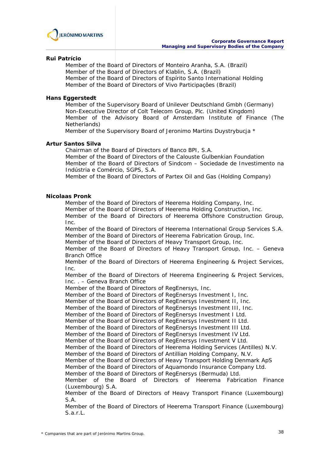

#### **Rui Patrício**

Member of the Board of Directors of Monteiro Aranha, S.A. (Brazil*)* Member of the Board of Directors of Klablin, S.A. (Brazil) Member of the Board of Directors of Espírito Santo International Holding Member of the Board of Directors of Vivo Participações (Brazil)

#### **Hans Eggerstedt**

Member of the Supervisory Board of Unilever Deutschland Gmbh (Germany) Non-Executive Director of Colt Telecom Group, Plc. (United Kingdom) Member of the Advisory Board of Amsterdam Institute of Finance (The Netherlands)

Member of the Supervisory Board of Jeronimo Martins Duystrybucja \*

#### **Artur Santos Silva**

Chairman of the Board of Directors of Banco BPI, S.A. Member of the Board of Directors of the Calouste Gulbenkian Foundation Member of the Board of Directors of Sindcom – Sociedade de Investimento na Indústria e Comércio, SGPS, S.A.

Member of the Board of Directors of Partex Oil and Gas (Holding Company)

#### **Nicolaas Pronk**

Member of the Board of Directors of Heerema Holding Company, Inc. Member of the Board of Directors of Heerema Holding Construction, Inc. Member of the Board of Directors of Heerema Offshore Construction Group, Inc. Member of the Board of Directors of Heerema International Group Services S.A. Member of the Board of Directors of Heerema Fabrication Group, Inc. Member of the Board of Directors of Heavy Transport Group, Inc. Member of the Board of Directors of Heavy Transport Group, Inc. – Geneva Branch Office Member of the Board of Directors of Heerema Engineering & Project Services, Inc. Member of the Board of Directors of Heerema Engineering & Project Services, Inc. . – Geneva Branch Office Member of the Board of Directors of RegEnersys, Inc. Member of the Board of Directors of RegEnersys Investment I, Inc. Member of the Board of Directors of RegEnersys Investment II, Inc. Member of the Board of Directors of RegEnersys Investment III, Inc. Member of the Board of Directors of RegEnersys Investment I Ltd. Member of the Board of Directors of RegEnersys Investment II Ltd. Member of the Board of Directors of RegEnersys Investment III Ltd. Member of the Board of Directors of RegEnersys Investment IV Ltd. Member of the Board of Directors of RegEnersys Investment V Ltd. Member of the Board of Directors of Heerema Holding Services (Antilles) N.V. Member of the Board of Directors of Antillian Holding Company, N.V. Member of the Board of Directors of Heavy Transport Holding Denmark ApS Member of the Board of Directors of Aquamondo Insurance Company Ltd. Member of the Board of Directors of RegEnersys (Bermuda) Ltd. Member of the Board of Directors of Heerema Fabrication Finance (Luxembourg) S.A. Member of the Board of Directors of Heavy Transport Finance (Luxembourg) S.A. Member of the Board of Directors of Heerema Transport Finance (Luxembourg) S.a.r.L.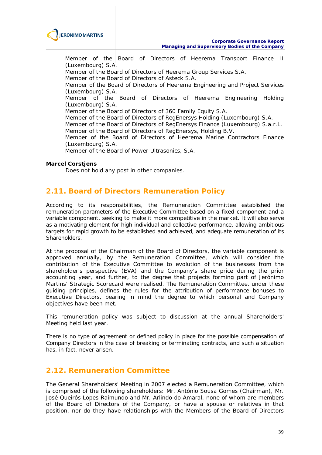

Member of the Board of Directors of Heerema Transport Finance II (Luxembourg) S.A. Member of the Board of Directors of Heerema Group Services S.A. Member of the Board of Directors of Asteck S.A. Member of the Board of Directors of Heerema Engineering and Project Services (Luxembourg) S.A. Member of the Board of Directors of Heerema Engineering Holding (Luxembourg) S.A. Member of the Board of Directors of 360 Family Equity S.A. Member of the Board of Directors of RegEnersys Holding (Luxembourg) S.A. Member of the Board of Directors of RegEnersys Finance (Luxembourg) S.a.r.L. Member of the Board of Directors of RegEnersys, Holding B.V. Member of the Board of Directors of Heerema Marine Contractors Finance (Luxembourg) S.A. Member of the Board of Power Ultrasonics, S.A.

#### **Marcel Corstjens**

Does not hold any post in other companies.

## **2.11. Board of Directors Remuneration Policy**

According to its responsibilities, the Remuneration Committee established the remuneration parameters of the Executive Committee based on a fixed component and a variable component, seeking to make it more competitive in the market. It will also serve as a motivating element for high individual and collective performance, allowing ambitious targets for rapid growth to be established and achieved, and adequate remuneration of its Shareholders.

At the proposal of the Chairman of the Board of Directors, the variable component is approved annually, by the Remuneration Committee, which will consider the contribution of the Executive Committee to evolution of the businesses from the shareholder's perspective (EVA) and the Company's share price during the prior accounting year, and further, to the degree that projects forming part of Jerónimo Martins' Strategic Scorecard were realised. The Remuneration Committee, under these guiding principles, defines the rules for the attribution of performance bonuses to Executive Directors, bearing in mind the degree to which personal and Company objectives have been met.

This remuneration policy was subject to discussion at the annual Shareholders' Meeting held last year.

There is no type of agreement or defined policy in place for the possible compensation of Company Directors in the case of breaking or terminating contracts, and such a situation has, in fact, never arisen.

### **2.12. Remuneration Committee**

The General Shareholders' Meeting in 2007 elected a Remuneration Committee, which is comprised of the following shareholders: Mr. António Sousa Gomes (Chairman), Mr. José Queirós Lopes Raimundo and Mr. Arlindo do Amaral, none of whom are members of the Board of Directors of the Company, or have a spouse or relatives in that position, nor do they have relationships with the Members of the Board of Directors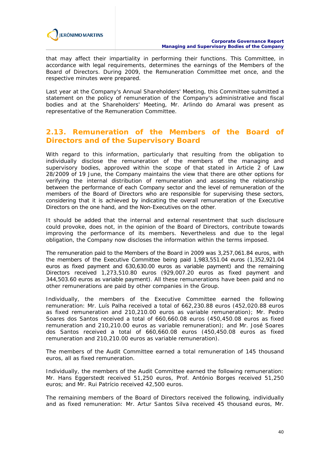

that may affect their impartiality in performing their functions. This Committee, in accordance with legal requirements, determines the earnings of the Members of the Board of Directors. During 2009, the Remuneration Committee met once, and the respective minutes were prepared.

Last year at the Company's Annual Shareholders' Meeting, this Committee submitted a statement on the policy of remuneration of the Company's administrative and fiscal bodies and at the Shareholders' Meeting, Mr. Arlindo do Amaral was present as representative of the Remuneration Committee.

## **2.13. Remuneration of the Members of the Board of Directors and of the Supervisory Board**

With regard to this information, particularly that resulting from the obligation to individually disclose the remuneration of the members of the managing and supervisory bodies, approved within the scope of that stated in Article 2 of Law 28/2009 of 19 June, the Company maintains the view that there are other options for verifying the internal distribution of remuneration and assessing the relationship between the performance of each Company sector and the level of remuneration of the members of the Board of Directors who are responsible for supervising these sectors, considering that it is achieved by indicating the overall remuneration of the Executive Directors on the one hand, and the Non-Executives on the other.

It should be added that the internal and external resentment that such disclosure could provoke, does not, in the opinion of the Board of Directors, contribute towards improving the performance of its members. Nevertheless and due to the legal obligation, the Company now discloses the information within the terms imposed.

The remuneration paid to the Members of the Board in 2009 was 3,257,061.84 euros, with the members of the Executive Committee being paid 1,983,551.04 euros (1,352,921.04 euros as fixed payment and 630,630.00 euros as variable payment) and the remaining Directors received 1,273,510.80 euros (929,007.20 euros as fixed payment and 344,503.60 euros as variable payment). All these remunerations have been paid and no other remunerations are paid by other companies in the Group.

Individually, the members of the Executive Committee earned the following remuneration: Mr. Luís Palha received a total of 662,230.88 euros (452,020.88 euros as fixed remuneration and 210,210.00 euros as variable remuneration); Mr. Pedro Soares dos Santos received a total of 660,660.08 euros (450,450.08 euros as fixed remuneration and 210,210.00 euros as variable remuneration); and Mr. José Soares dos Santos received a total of 660,660.08 euros (450,450.08 euros as fixed remuneration and 210,210.00 euros as variable remuneration).

The members of the Audit Committee earned a total remuneration of 145 thousand euros, all as fixed remuneration.

Individually, the members of the Audit Committee earned the following remuneration: Mr. Hans Eggerstedt received 51,250 euros, Prof. António Borges received 51,250 euros; and Mr. Rui Patrício received 42,500 euros.

The remaining members of the Board of Directors received the following, individually and as fixed remuneration: Mr. Artur Santos Silva received 45 thousand euros, Mr.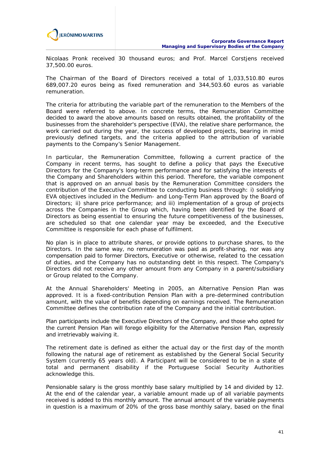

Nicolaas Pronk received 30 thousand euros; and Prof. Marcel Corstjens received 37,500.00 euros.

The Chairman of the Board of Directors received a total of 1,033,510.80 euros 689,007.20 euros being as fixed remuneration and 344,503.60 euros as variable remuneration.

The criteria for attributing the variable part of the remuneration to the Members of the Board were referred to above. In concrete terms, the Remuneration Committee decided to award the above amounts based on results obtained, the profitability of the businesses from the shareholder's perspective (EVA), the relative share performance, the work carried out during the year, the success of developed projects, bearing in mind previously defined targets, and the criteria applied to the attribution of variable payments to the Company's Senior Management.

In particular, the Remuneration Committee, following a current practice of the Company in recent terms, has sought to define a policy that pays the Executive Directors for the Company's long-term performance and for satisfying the interests of the Company and Shareholders within this period. Therefore, the variable component that is approved on an annual basis by the Remuneration Committee considers the contribution of the Executive Committee to conducting business through: i) solidifying EVA objectives included in the Medium- and Long-Term Plan approved by the Board of Directors; ii) share price performance; and iii) implementation of a group of projects across the Companies in the Group which, having been identified by the Board of Directors as being essential to ensuring the future competitiveness of the businesses, are scheduled so that one calendar year may be exceeded, and the Executive Committee is responsible for each phase of fulfilment.

No plan is in place to attribute shares, or provide options to purchase shares, to the Directors. In the same way, no remuneration was paid as profit-sharing, nor was any compensation paid to former Directors, Executive or otherwise, related to the cessation of duties, and the Company has no outstanding debt in this respect. The Company's Directors did not receive any other amount from any Company in a parent/subsidiary or Group related to the Company.

At the Annual Shareholders' Meeting in 2005, an Alternative Pension Plan was approved. It is a fixed-contribution Pension Plan with a pre-determined contribution amount, with the value of benefits depending on earnings received. The Remuneration Committee defines the contribution rate of the Company and the initial contribution.

Plan participants include the Executive Directors of the Company, and those who opted for the current Pension Plan will forego eligibility for the Alternative Pension Plan, expressly and irretrievably waiving it.

The retirement date is defined as either the actual day or the first day of the month following the natural age of retirement as established by the General Social Security System (currently 65 years old). A Participant will be considered to be in a state of total and permanent disability if the Portuguese Social Security Authorities acknowledge this.

Pensionable salary is the gross monthly base salary multiplied by 14 and divided by 12. At the end of the calendar year, a variable amount made up of all variable payments received is added to this monthly amount. The annual amount of the variable payments in question is a maximum of 20% of the gross base monthly salary, based on the final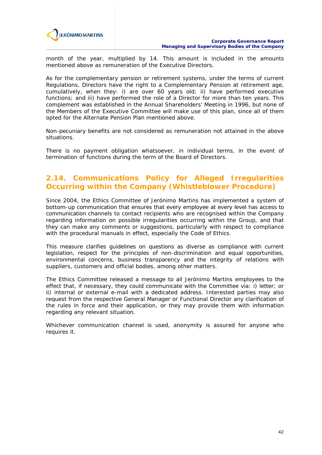

month of the year, multiplied by 14. This amount is included in the amounts mentioned above as remuneration of the Executive Directors.

As for the complementary pension or retirement systems, under the terms of current Regulations, Directors have the right to a Complementary Pension at retirement age, cumulatively, when they: i) are over 60 years old; ii) have performed executive functions; and iii) have performed the role of a Director for more than ten years. This complement was established in the Annual Shareholders' Meeting in 1996, but none of the Members of the Executive Committee will make use of this plan, since all of them opted for the Alternate Pension Plan mentioned above.

Non-pecuniary benefits are not considered as remuneration not attained in the above situations.

There is no payment obligation whatsoever, in individual terms, in the event of termination of functions during the term of the Board of Directors.

# **2.14. Communications Policy for Alleged Irregularities Occurring within the Company (Whistleblower Procedure)**

Since 2004, the Ethics Committee of Jerónimo Martins has implemented a system of bottom-up communication that ensures that every employee at every level has access to communication channels to contact recipients who are recognised within the Company regarding information on possible irregularities occurring within the Group, and that they can make any comments or suggestions, particularly with respect to compliance with the procedural manuals in effect, especially the Code of Ethics.

This measure clarifies guidelines on questions as diverse as compliance with current legislation, respect for the principles of non-discrimination and equal opportunities, environmental concerns, business transparency and the integrity of relations with suppliers, customers and official bodies, among other matters.

The Ethics Committee released a message to all Jerónimo Martins employees to the effect that, if necessary, they could communicate with the Committee via: i) letter; or ii) internal or external e-mail with a dedicated address. Interested parties may also request from the respective General Manager or Functional Director any clarification of the rules in force and their application, or they may provide them with information regarding any relevant situation.

Whichever communication channel is used, anonymity is assured for anyone who requires it.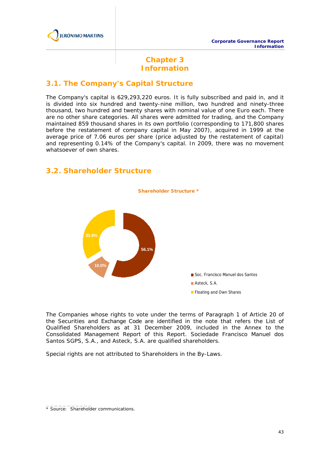

# **Chapter 3 Information**

# **3.1. The Company's Capital Structure**

The Company's capital is 629,293,220 euros. It is fully subscribed and paid in, and it is divided into six hundred and twenty-nine million, two hundred and ninety-three thousand, two hundred and twenty shares with nominal value of one Euro each. There are no other share categories. All shares were admitted for trading, and the Company maintained 859 thousand shares in its own portfolio (corresponding to 171,800 shares before the restatement of company capital in May 2007), acquired in 1999 at the average price of 7.06 euros per share (price adjusted by the restatement of capital) and representing 0.14% of the Company's capital. In 2009, there was no movement whatsoever of own shares.

## **3.2. Shareholder Structure**



The Companies whose rights to vote under the terms of Paragraph 1 of Article 20 of the Securities and Exchange Code are identified in the note that refers the List of Qualified Shareholders as at 31 December 2009, included in the Annex to the Consolidated Management Report of this Report. Sociedade Francisco Manuel dos Santos SGPS, S.A., and Asteck, S.A. are qualified shareholders.

Special rights are not attributed to Shareholders in the By-Laws.

**\_\_\_\_\_\_\_\_\_\_\_** 

<sup>\*</sup> Source: Shareholder communications.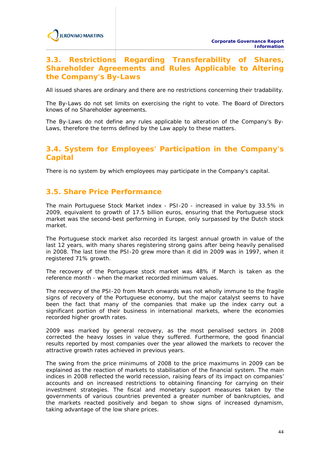# **3.3. Restrictions Regarding Transferability of Shares, Shareholder Agreements and Rules Applicable to Altering the Company's By-Laws**

All issued shares are ordinary and there are no restrictions concerning their tradability.

The By-Laws do not set limits on exercising the right to vote. The Board of Directors knows of no Shareholder agreements.

The By-Laws do not define any rules applicable to alteration of the Company's By-Laws, therefore the terms defined by the Law apply to these matters.

# **3.4. System for Employees' Participation in the Company's Capital**

There is no system by which employees may participate in the Company's capital.

## **3.5. Share Price Performance**

The main Portuguese Stock Market index - PSI-20 - increased in value by 33.5% in 2009, equivalent to growth of 17.5 billion euros, ensuring that the Portuguese stock market was the second-best performing in Europe, only surpassed by the Dutch stock market.

The Portuguese stock market also recorded its largest annual growth in value of the last 12 years, with many shares registering strong gains after being heavily penalised in 2008. The last time the PSI-20 grew more than it did in 2009 was in 1997, when it registered 71% growth.

The recovery of the Portuguese stock market was 48% if March is taken as the reference month - when the market recorded minimum values.

The recovery of the PSI-20 from March onwards was not wholly immune to the fragile signs of recovery of the Portuguese economy, but the major catalyst seems to have been the fact that many of the companies that make up the index carry out a significant portion of their business in international markets, where the economies recorded higher growth rates.

2009 was marked by general recovery, as the most penalised sectors in 2008 corrected the heavy losses in value they suffered. Furthermore, the good financial results reported by most companies over the year allowed the markets to recover the attractive growth rates achieved in previous years.

The swing from the price minimums of 2008 to the price maximums in 2009 can be explained as the reaction of markets to stabilisation of the financial system. The main indices in 2008 reflected the world recession, raising fears of its impact on companies' accounts and on increased restrictions to obtaining financing for carrying on their investment strategies. The fiscal and monetary support measures taken by the governments of various countries prevented a greater number of bankruptcies, and the markets reacted positively and began to show signs of increased dynamism, taking advantage of the low share prices.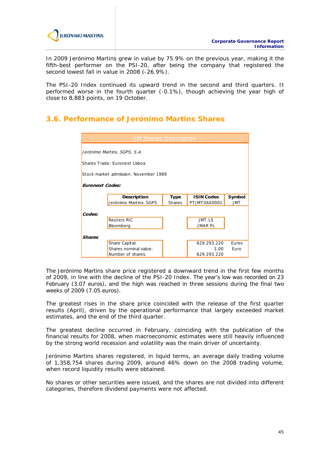

In 2009 Jerónimo Martins grew in value by 75.9% on the previous year, making it the fifth-best performer on the PSI-20, after being the company that registered the second lowest fall in value in 2008 (-26.9%).

The PSI-20 Index continued its upward trend in the second and third quarters. It performed worse in the fourth quarter (-0.1%), though achieving the year high of close to 8,883 points, on 19 October.

## **3.6. Performance of Jerónimo Martins Shares**

| <b>JM Shares Description</b>          |                        |               |                   |              |
|---------------------------------------|------------------------|---------------|-------------------|--------------|
| Jerónimo Martins, SGPS, S.A.          |                        |               |                   |              |
| Shares Trade: Euronext Lisboa         |                        |               |                   |              |
| Stock market admission: November 1989 |                        |               |                   |              |
| <b>Furonext Codes:</b>                |                        |               |                   |              |
|                                       | <b>Description</b>     | <b>Type</b>   | <b>ISIN Codes</b> | Symbol       |
|                                       | Jerónimo Martins- SGPS | <b>Shares</b> | PTJMT0AE0001      | <b>JMT</b>   |
| Codes:                                |                        |               |                   |              |
|                                       | Reuters RIC            |               | JMT.LS            |              |
|                                       | Bloomberg              |               | <b>JMAR PL</b>    |              |
| <b>Shares</b>                         |                        |               |                   |              |
|                                       | Share Capital:         |               | 629.293.220       | <b>Furos</b> |
|                                       | Shares nominal value:  |               | 1,00              | Euro         |
|                                       | Number of shares:      |               | 629.293.220       |              |

The Jerónimo Martins share price registered a downward trend in the first few months of 2009, in line with the decline of the PSI-20 Index. The year's low was recorded on 23 February (3.07 euros), and the high was reached in three sessions during the final two weeks of 2009 (7.05 euros).

The greatest rises in the share price coincided with the release of the first quarter results (April), driven by the operational performance that largely exceeded market estimates, and the end of the third quarter.

The greatest decline occurred in February, coinciding with the publication of the financial results for 2008, when macroeconomic estimates were still heavily influenced by the strong world recession and volatility was the main driver of uncertainty.

Jerónimo Martins shares registered, in liquid terms, an average daily trading volume of 1,358,754 shares during 2009, around 46% down on the 2008 trading volume, when record liquidity results were obtained.

No shares or other securities were issued, and the shares are not divided into different categories, therefore dividend payments were not affected.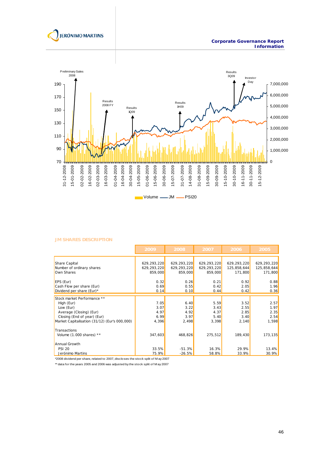





#### **JM SHARES DESCRIPTION**

|                                               | 2009          | 2008          | 2007          | 2006          | 2005          |
|-----------------------------------------------|---------------|---------------|---------------|---------------|---------------|
|                                               |               |               |               |               |               |
| Share Capital                                 | 629, 293, 220 | 629, 293, 220 | 629, 293, 220 | 629, 293, 220 | 629, 293, 220 |
| Number of ordinary shares                     | 629, 293, 220 | 629, 293, 220 | 629, 293, 220 | 125,858,644   | 125,858,644   |
| Own Shares                                    | 859,000       | 859,000       | 859,000       | 171.800       | 171,800       |
| EPS (Eur)                                     | 0.32          | 0.26          | 0.21          | 0.92          | 0.88          |
| Cash Flow per share (Eur)                     | 0.69          | 0.55          | 0.42          | 2.05          | 1.96          |
| Dividend per share (Eur)*                     | 0.14          | 0.10          | 0.44          | 0.42          | 0.36          |
| Stock market Performance **                   |               |               |               |               |               |
| High (Eur)                                    | 7.05          | 6.40          | 5.59          | 3.52          | 2.57          |
| Low (Eur)                                     | 3.07          | 3.22          | 3.43          | 2.55          | 1.97          |
| Average (Closing) (Eur)                       | 4.97          | 4.92          | 4.37          | 2.85          | 2.35          |
| Closing (End of year) (Eur)                   | 6.99          | 3.97          | 5.40          | 3.40          | 2.54          |
| Market Capitalisation (31/12) (Eur's 000,000) | 4,396         | 2,498         | 3,398         | 2,140         | 1,598         |
|                                               |               |               |               |               |               |
| Transactions                                  |               |               |               |               |               |
| Volume $(1.000$ shares) **                    | 347,603       | 468,826       | 275,512       | 189,430       | 173,135       |
|                                               |               |               |               |               |               |
| <b>Annual Growth</b>                          |               |               |               |               |               |
| <b>PSI 20</b>                                 | 33.5%         | $-51.3%$      | 16.3%         | 29.9%         | 13.4%         |
| Jerónimo Martins                              | 75.9%         | $-26.5%$      | 58.8%         | 33.9%         | 30.9%         |

\*2008 dividend per share, related to 2007, discloses the stock split of M ay 2007

\*\* data for the years 2005 and 2006 was adjusted by the stock split of M ay 2007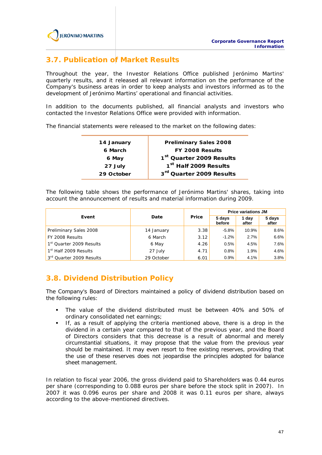# **3.7. Publication of Market Results**

Throughout the year, the Investor Relations Office published Jerónimo Martins' quarterly results, and it released all relevant information on the performance of the Company's business areas in order to keep analysts and investors informed as to the development of Jerónimo Martins' operational and financial activities.

In addition to the documents published, all financial analysts and investors who contacted the Investor Relations Office were provided with information.

The financial statements were released to the market on the following dates:

| 14 January | <b>Preliminary Sales 2008</b>        |
|------------|--------------------------------------|
| 6 March    | FY 2008 Results                      |
| 6 May      | 1 <sup>st</sup> Quarter 2009 Results |
| 27 July    | 1st Half 2009 Results                |
| 29 October | 3 <sup>rd</sup> Quarter 2009 Results |

The following table shows the performance of Jerónimo Martins' shares, taking into account the announcement of results and material information during 2009.

|                                      |            |       | <b>Price variations JM</b> |                |                 |
|--------------------------------------|------------|-------|----------------------------|----------------|-----------------|
| Event                                | Date       | Price | 5 days<br>before           | 1 day<br>after | 5 days<br>after |
| Preliminary Sales 2008               | 14 January | 3.38  | $-5.8%$                    | 10.9%          | 8.6%            |
| FY 2008 Results                      | 6 March    | 3.12  | $-1.2%$                    | 2.7%           | 6.6%            |
| 1 <sup>st</sup> Quarter 2009 Results | 6 May      | 4.26  | 0.5%                       | 4.5%           | 7.6%            |
| 1 <sup>st</sup> Half 2009 Results    | 27 July    | 4.71  | 0.8%                       | 1.9%           | 4.6%            |
| 3rd Quarter 2009 Results             | 29 October | 6.01  | 0.9%                       | 4.1%           | 3.8%            |

# **3.8. Dividend Distribution Policy**

The Company's Board of Directors maintained a policy of dividend distribution based on the following rules:

- The value of the dividend distributed must be between 40% and 50% of ordinary consolidated net earnings;
- If, as a result of applying the criteria mentioned above, there is a drop in the dividend in a certain year compared to that of the previous year, and the Board of Directors considers that this decrease is a result of abnormal and merely circumstantial situations, it may propose that the value from the previous year should be maintained. It may even resort to free existing reserves, providing that the use of these reserves does not jeopardise the principles adopted for balance sheet management.

In relation to fiscal year 2006, the gross dividend paid to Shareholders was 0.44 euros per share (corresponding to 0.088 euros per share before the stock split in 2007). In 2007 it was 0.096 euros per share and 2008 it was 0.11 euros per share, always according to the above-mentioned directives.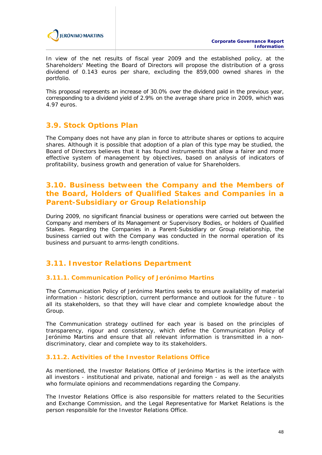

In view of the net results of fiscal year 2009 and the established policy, at the Shareholders' Meeting the Board of Directors will propose the distribution of a gross dividend of 0.143 euros per share, excluding the 859,000 owned shares in the portfolio.

This proposal represents an increase of 30.0% over the dividend paid in the previous year, corresponding to a dividend yield of 2.9% on the average share price in 2009, which was 4.97 euros.

## **3.9. Stock Options Plan**

The Company does not have any plan in force to attribute shares or options to acquire shares. Although it is possible that adoption of a plan of this type may be studied, the Board of Directors believes that it has found instruments that allow a fairer and more effective system of management by objectives, based on analysis of indicators of profitability, business growth and generation of value for Shareholders.

# **3.10. Business between the Company and the Members of the Board, Holders of Qualified Stakes and Companies in a Parent-Subsidiary or Group Relationship**

During 2009, no significant financial business or operations were carried out between the Company and members of its Management or Supervisory Bodies, or holders of Qualified Stakes. Regarding the Companies in a Parent-Subsidiary or Group relationship, the business carried out with the Company was conducted in the normal operation of its business and pursuant to arms-length conditions.

# **3.11. Investor Relations Department**

### **3.11.1. Communication Policy of Jerónimo Martins**

The Communication Policy of Jerónimo Martins seeks to ensure availability of material information - historic description, current performance and outlook for the future - to all its stakeholders, so that they will have clear and complete knowledge about the Group.

The Communication strategy outlined for each year is based on the principles of transparency, rigour and consistency, which define the Communication Policy of Jerónimo Martins and ensure that all relevant information is transmitted in a nondiscriminatory, clear and complete way to its stakeholders.

### **3.11.2. Activities of the Investor Relations Office**

As mentioned, the Investor Relations Office of Jerónimo Martins is the interface with all investors - institutional and private, national and foreign - as well as the analysts who formulate opinions and recommendations regarding the Company.

The Investor Relations Office is also responsible for matters related to the Securities and Exchange Commission, and the Legal Representative for Market Relations is the person responsible for the Investor Relations Office.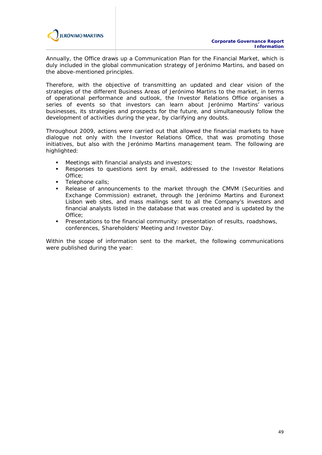

Annually, the Office draws up a Communication Plan for the Financial Market, which is duly included in the global communication strategy of Jerónimo Martins, and based on the above-mentioned principles.

Therefore, with the objective of transmitting an updated and clear vision of the strategies of the different Business Areas of Jerónimo Martins to the market, in terms of operational performance and outlook, the Investor Relations Office organises a series of events so that investors can learn about Jerónimo Martins' various businesses, its strategies and prospects for the future, and simultaneously follow the development of activities during the year, by clarifying any doubts.

Throughout 2009, actions were carried out that allowed the financial markets to have dialogue not only with the Investor Relations Office, that was promoting those initiatives, but also with the Jerónimo Martins management team. The following are highlighted:

- Meetings with financial analysts and investors;
- Responses to questions sent by email, addressed to the Investor Relations Office;
- **Telephone calls:**
- Release of announcements to the market through the CMVM (Securities and Exchange Commission) extranet, through the Jerónimo Martins and Euronext Lisbon web sites, and mass mailings sent to all the Company's investors and financial analysts listed in the database that was created and is updated by the Office;
- **Presentations to the financial community: presentation of results, roadshows,** conferences, Shareholders' Meeting and Investor Day.

Within the scope of information sent to the market, the following communications were published during the year: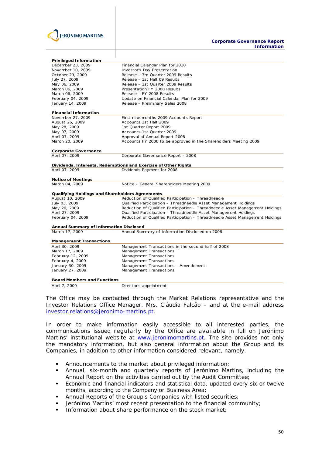

| <b>Privileged Information</b>                   |                                                                               |
|-------------------------------------------------|-------------------------------------------------------------------------------|
| December 23, 2009                               | Financial Calendar Plan for 2010                                              |
| November 10, 2009                               | Investor's Day Presentation                                                   |
| October 29, 2009                                | Release - 3rd Quarter 2009 Results                                            |
| July 27, 2009                                   | Release - 1st Half 09 Results                                                 |
| May 06, 2009                                    | Release - 1st Quarter 2009 Results                                            |
| March 06, 2009                                  | Presentation FY 2008 Results                                                  |
| March 06, 2009                                  | Release - FY 2008 Results                                                     |
| February 04, 2009                               | Update on Financial Calendar Plan for 2009                                    |
| January 14, 2009                                | Release - Preliminary Sales 2008                                              |
| <b>Financial Information</b>                    |                                                                               |
| November 27, 2009                               | First nine months 2009 Accounts Report                                        |
| August 26, 2009                                 | Accounts 1st Half 2009                                                        |
| May 28, 2009                                    | 1st Quarter Report 2009                                                       |
| May 07, 2009                                    | Accounts 1st Quarter 2009                                                     |
| April 07, 2009                                  | Approval of Annual Report 2008                                                |
| March 20, 2009                                  | Accounts FY 2008 to be approved in the Shareholders Meeting 2009              |
| <b>Corporate Governance</b>                     |                                                                               |
| April 07, 2009                                  | Corporate Governance Report - 2008                                            |
|                                                 | Dividends, Interests, Redemptions and Exercise of Other Rights                |
| April 07, 2009                                  | Dividends Payment for 2008                                                    |
| <b>Notice of Meetings</b>                       |                                                                               |
| March 04, 2009                                  | Notice - General Shareholders Meeting 2009                                    |
|                                                 |                                                                               |
| Qualifying Holdings and Shareholders Agreements |                                                                               |
| August 10, 2009                                 | Reduction of Qualified Participation - Threadneedle                           |
| July 03, 2009                                   | Qualified Participation - Threadneedle Asset Management Holdings              |
| May 26, 2009                                    | Reduction of Qualified Participation - Threadneedle Asset Management Holdings |
| April 27, 2009                                  | Qualified Participation - Threadneedle Asset Management Holdings              |
| February 04, 2009                               | Reduction of Qualified Participation - Threadneedle Asset Management Holdings |
| <b>Annual Summary of Information Disclosed</b>  |                                                                               |
| March 17, 2009                                  | Annual Summary of Information Disclosed on 2008                               |
| <b>Management Transactions</b>                  |                                                                               |
| April 30, 2009                                  | Management Transactions in the second half of 2008                            |
| March 17, 2009                                  | Management Transactions                                                       |
| February 12, 2009                               | Management Transactions                                                       |
| February 4, 2009                                | Management Transactions                                                       |
| January 30, 2009                                | Management Transactions - Amendement                                          |
| January 27, 2009                                | Management Transactions                                                       |
| <b>Board Members and Functions</b>              |                                                                               |

April 7, 2009 Director's appointment

The Office may be contacted through the Market Relations representative and the Investor Relations Office Manager, Mrs. Cláudia Falcão – and at the e-mail address investor.relations@jeronimo-martins.pt.

In order to make information easily accessible to all interested parties, the communications issued regularly by the Office are available in full on Jerónimo Martins' institutional website at www.jeronimomartins.pt. The site provides not only the mandatory information, but also general information about the Group and its Companies, in addition to other information considered relevant, namely:

- Announcements to the market about privileged information;
- Annual, six-month and quarterly reports of Jerónimo Martins, including the Annual Report on the activities carried out by the Audit Committee;
- Economic and financial indicators and statistical data, updated every six or twelve months, according to the Company or Business Area;
- Annual Reports of the Group's Companies with listed securities;
- Jerónimo Martins' most recent presentation to the financial community;
- **Information about share performance on the stock market;**